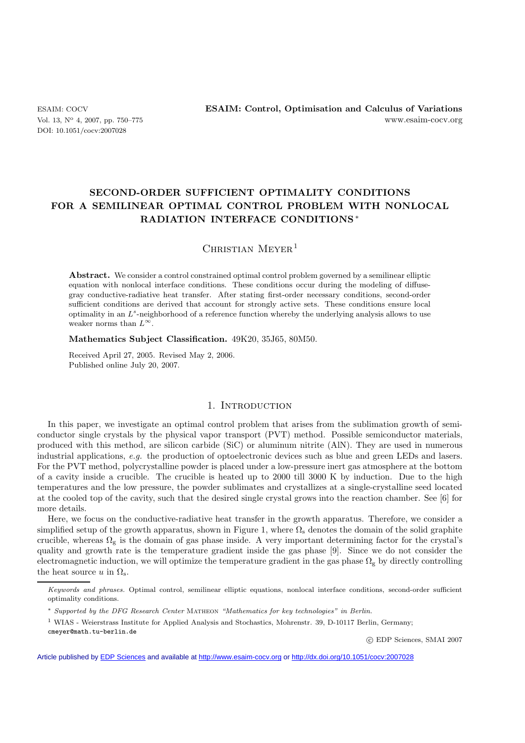DOI: 10.1051/cocv:2007028

ESAIM: COCV **ESAIM: Control, Optimisation and Calculus of Variations** Vol. 13, N<sup>o</sup> 4, 2007, pp. 750–775 www.esaim-cocv.org

# **SECOND-ORDER SUFFICIENT OPTIMALITY CONDITIONS FOR A SEMILINEAR OPTIMAL CONTROL PROBLEM WITH NONLOCAL RADIATION INTERFACE CONDITIONS**∗

 $CHRISTIAN~MEYER<sup>1</sup>$ 

Abstract. We consider a control constrained optimal control problem governed by a semilinear elliptic equation with nonlocal interface conditions. These conditions occur during the modeling of diffusegray conductive-radiative heat transfer. After stating first-order necessary conditions, second-order sufficient conditions are derived that account for strongly active sets. These conditions ensure local optimality in an *L<sup>s</sup>*-neighborhood of a reference function whereby the underlying analysis allows to use weaker norms than *L*∞.

**Mathematics Subject Classification.** 49K20, 35J65, 80M50.

Received April 27, 2005. Revised May 2, 2006. Published online July 20, 2007.

## 1. INTRODUCTION

In this paper, we investigate an optimal control problem that arises from the sublimation growth of semiconductor single crystals by the physical vapor transport (PVT) method. Possible semiconductor materials, produced with this method, are silicon carbide (SiC) or aluminum nitrite (AlN). They are used in numerous industrial applications, *e.g.* the production of optoelectronic devices such as blue and green LEDs and lasers. For the PVT method, polycrystalline powder is placed under a low-pressure inert gas atmosphere at the bottom of a cavity inside a crucible. The crucible is heated up to 2000 till 3000 K by induction. Due to the high temperatures and the low pressure, the powder sublimates and crystallizes at a single-crystalline seed located at the cooled top of the cavity, such that the desired single crystal grows into the reaction chamber. See [6] for more details.

Here, we focus on the conductive-radiative heat transfer in the growth apparatus. Therefore, we consider a simplified setup of the growth apparatus, shown in Figure 1, where  $\Omega_s$  denotes the domain of the solid graphite crucible, whereas  $\Omega_{g}$  is the domain of gas phase inside. A very important determining factor for the crystal's quality and growth rate is the temperature gradient inside the gas phase [9]. Since we do not consider the electromagnetic induction, we will optimize the temperature gradient in the gas phase  $\Omega_{\rm g}$  by directly controlling the heat source u in  $\Omega$ <sub>s</sub>.

<sup>∗</sup> *Supported by the DFG Research Center* Matheon *"Mathematics for key technologies" in Berlin.*

<sup>1</sup> WIAS - Weierstrass Institute for Applied Analysis and Stochastics, Mohrenstr. 39, D-10117 Berlin, Germany; cmeyer@math.tu-berlin.de

-c EDP Sciences, SMAI 2007

Article published by [EDP Sciences](http://www.edpsciences.org) and available at<http://www.esaim-cocv.org> or <http://dx.doi.org/10.1051/cocv:2007028>

*Keywords and phrases.* Optimal control, semilinear elliptic equations, nonlocal interface conditions, second-order sufficient optimality conditions.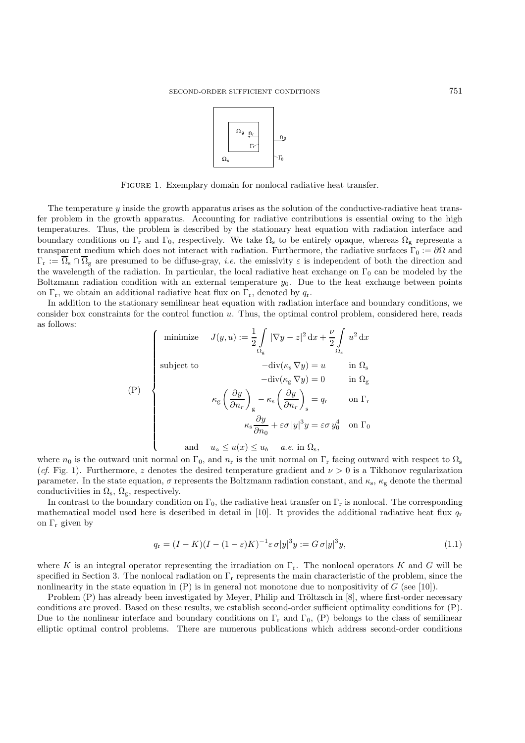

FIGURE 1. Exemplary domain for nonlocal radiative heat transfer.

The temperature  $\eta$  inside the growth apparatus arises as the solution of the conductive-radiative heat transfer problem in the growth apparatus. Accounting for radiative contributions is essential owing to the high temperatures. Thus, the problem is described by the stationary heat equation with radiation interface and boundary conditions on  $\Gamma_r$  and  $\Gamma_0$ , respectively. We take  $\Omega_s$  to be entirely opaque, whereas  $\Omega_g$  represents a transparent medium which does not interact with radiation. Furthermore, the radiative surfaces  $\Gamma_0 := \partial\Omega$  and  $\Gamma_{\rm r} := \overline{\Omega}_{\rm s} \cap \overline{\Omega}_{\rm g}$  are presumed to be diffuse-gray, *i.e.* the emissivity  $\varepsilon$  is independent of both the direction and the wavelength of the radiation. In particular, the local radiative heat exchange on  $\Gamma_0$  can be modeled by the Boltzmann radiation condition with an external temperature  $y_0$ . Due to the heat exchange between points on  $\Gamma_r$ , we obtain an additional radiative heat flux on  $\Gamma_r$ , denoted by  $q_r$ .

In addition to the stationary semilinear heat equation with radiation interface and boundary conditions, we consider box constraints for the control function u. Thus, the optimal control problem, considered here, reads as follows:

$$
\text{(P)} \quad\n\begin{cases}\n\text{minimize} & J(y, u) := \frac{1}{2} \int_{\Omega_{\text{g}}} |\nabla y - z|^2 \, \mathrm{d}x + \frac{\nu}{2} \int_{\Omega_{\text{s}}} u^2 \, \mathrm{d}x \\
\text{subject to} & -\operatorname{div}(\kappa_{\text{s}} \nabla y) = u \quad \text{in } \Omega_{\text{s}} \\
& -\operatorname{div}(\kappa_{\text{g}} \nabla y) = 0 \quad \text{in } \Omega_{\text{g}} \\
& \kappa_{\text{g}} \left(\frac{\partial y}{\partial n_r}\right)_\text{g} - \kappa_{\text{s}} \left(\frac{\partial y}{\partial n_r}\right)_\text{s} = q_r \quad \text{on } \Gamma_{\text{r}} \\
& \kappa_{\text{s}} \frac{\partial y}{\partial n_0} + \varepsilon \sigma |y|^3 y = \varepsilon \sigma y_0^4 \quad \text{on } \Gamma_0 \\
\text{and} \quad u_a \le u(x) \le u_b \quad a.e. \text{ in } \Omega_{\text{s}},\n\end{cases}
$$

where  $n_0$  is the outward unit normal on  $\Gamma_0$ , and  $n_r$  is the unit normal on  $\Gamma_r$  facing outward with respect to  $\Omega_s$ (*cf.* Fig. 1). Furthermore, z denotes the desired temperature gradient and  $\nu > 0$  is a Tikhonov regularization parameter. In the state equation,  $\sigma$  represents the Boltzmann radiation constant, and  $\kappa_{\rm s}$ ,  $\kappa_{\rm g}$  denote the thermal conductivities in  $\Omega_s$ ,  $\Omega_g$ , respectively.

In contrast to the boundary condition on  $\Gamma_0$ , the radiative heat transfer on  $\Gamma_r$  is nonlocal. The corresponding mathematical model used here is described in detail in [10]. It provides the additional radiative heat flux  $q_r$ on  $\Gamma_r$  given by

$$
q_{\mathbf{r}} = (I - K)(I - (1 - \varepsilon)K)^{-1} \varepsilon \sigma |y|^3 y := G \sigma |y|^3 y,\tag{1.1}
$$

where K is an integral operator representing the irradiation on  $\Gamma_r$ . The nonlocal operators K and G will be specified in Section 3. The nonlocal radiation on  $\Gamma_r$  represents the main characteristic of the problem, since the nonlinearity in the state equation in  $(P)$  is in general not monotone due to nonpositivity of G (see [10]).

Problem  $(P)$  has already been investigated by Meyer, Philip and Tröltzsch in  $[8]$ , where first-order necessary conditions are proved. Based on these results, we establish second-order sufficient optimality conditions for (P). Due to the nonlinear interface and boundary conditions on  $\Gamma_r$  and  $\Gamma_0$ , (P) belongs to the class of semilinear elliptic optimal control problems. There are numerous publications which address second-order conditions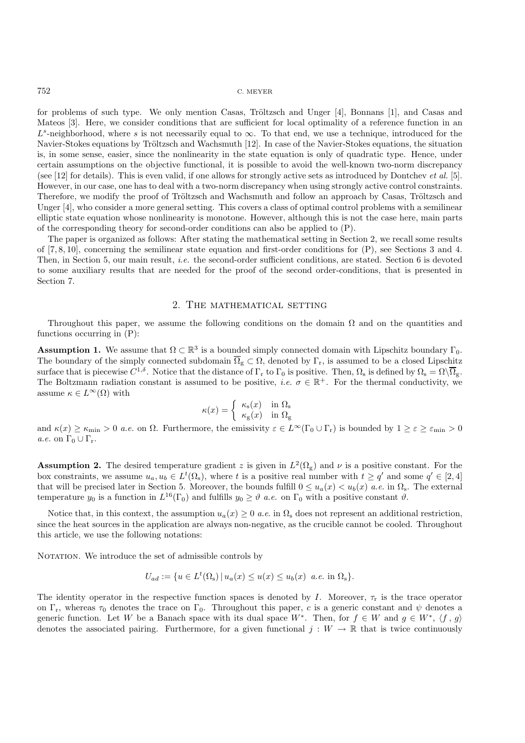for problems of such type. We only mention Casas, Tröltzsch and Unger  $[4]$ , Bonnans  $[1]$ , and Casas and Mateos [3]. Here, we consider conditions that are sufficient for local optimality of a reference function in an  $L^s$ -neighborhood, where s is not necessarily equal to  $\infty$ . To that end, we use a technique, introduced for the Navier-Stokes equations by Tröltzsch and Wachsmuth [12]. In case of the Navier-Stokes equations, the situation is, in some sense, easier, since the nonlinearity in the state equation is only of quadratic type. Hence, under certain assumptions on the objective functional, it is possible to avoid the well-known two-norm discrepancy (see [12] for details). This is even valid, if one allows for strongly active sets as introduced by Dontchev *et al.* [5]. However, in our case, one has to deal with a two-norm discrepancy when using strongly active control constraints. Therefore, we modify the proof of Tröltzsch and Wachsmuth and follow an approach by Casas, Tröltzsch and Unger [4], who consider a more general setting. This covers a class of optimal control problems with a semilinear elliptic state equation whose nonlinearity is monotone. However, although this is not the case here, main parts of the corresponding theory for second-order conditions can also be applied to (P).

The paper is organized as follows: After stating the mathematical setting in Section 2, we recall some results of [7, 8, 10], concerning the semilinear state equation and first-order conditions for (P), see Sections 3 and 4. Then, in Section 5, our main result, *i.e.* the second-order sufficient conditions, are stated. Section 6 is devoted to some auxiliary results that are needed for the proof of the second order-conditions, that is presented in Section 7.

## 2. The mathematical setting

Throughout this paper, we assume the following conditions on the domain  $\Omega$  and on the quantities and functions occurring in (P):

**Assumption 1.** We assume that  $\Omega \subset \mathbb{R}^3$  is a bounded simply connected domain with Lipschitz boundary  $\Gamma_0$ . The boundary of the simply connected subdomain  $\overline{\Omega}_{g} \subset \Omega$ , denoted by  $\Gamma_{r}$ , is assumed to be a closed Lipschitz surface that is piecewise  $C^{1,\delta}$ . Notice that the distance of  $\Gamma_r$  to  $\Gamma_0$  is positive. Then,  $\Omega_s$  is defined by  $\Omega_s = \Omega \backslash \overline{\Omega}_s$ . The Boltzmann radiation constant is assumed to be positive, *i.e.*  $\sigma \in \mathbb{R}^+$ . For the thermal conductivity, we assume  $\kappa \in L^{\infty}(\Omega)$  with

$$
\kappa(x) = \begin{cases} \kappa_{\rm s}(x) & \text{in } \Omega_{\rm s} \\ \kappa_{\rm g}(x) & \text{in } \Omega_{\rm g} \end{cases}
$$

and  $\kappa(x) \geq \kappa_{\min} > 0$  *a.e.* on  $\Omega$ . Furthermore, the emissivity  $\varepsilon \in L^{\infty}(\Gamma_0 \cup \Gamma_r)$  is bounded by  $1 \geq \varepsilon \geq \varepsilon_{\min} > 0$ *a.e.* on  $\Gamma_0 \cup \Gamma_r$ .

**Assumption 2.** The desired temperature gradient z is given in  $L^2(\Omega_g)$  and  $\nu$  is a positive constant. For the box constraints, we assume  $u_a, u_b \in L^t(\Omega_s)$ , where t is a positive real number with  $t \geq q'$  and some  $q' \in [2, 4]$ that will be precised later in Section 5. Moreover, the bounds fulfill  $0 \leq u_a(x) < u_b(x)$  *a.e.* in  $\Omega_s$ . The external temperature  $y_0$  is a function in  $L^{16}(\Gamma_0)$  and fulfills  $y_0 \geq \vartheta$  *a.e.* on  $\Gamma_0$  with a positive constant  $\vartheta$ .

Notice that, in this context, the assumption  $u_a(x) \geq 0$  *a.e.* in  $\Omega_s$  does not represent an additional restriction, since the heat sources in the application are always non-negative, as the crucible cannot be cooled. Throughout this article, we use the following notations:

NOTATION. We introduce the set of admissible controls by

$$
U_{ad} := \{ u \in L^t(\Omega_s) \, | \, u_a(x) \le u(x) \le u_b(x) \, a.e. \, \text{in } \Omega_s \}.
$$

The identity operator in the respective function spaces is denoted by I. Moreover,  $\tau_r$  is the trace operator on Γ<sub>r</sub>, whereas  $\tau_0$  denotes the trace on Γ<sub>0</sub>. Throughout this paper, c is a generic constant and  $\psi$  denotes a generic function. Let W be a Banach space with its dual space W<sup>\*</sup>. Then, for  $f \in W$  and  $g \in W^*$ ,  $\langle f, g \rangle$ denotes the associated pairing. Furthermore, for a given functional  $j : W \to \mathbb{R}$  that is twice continuously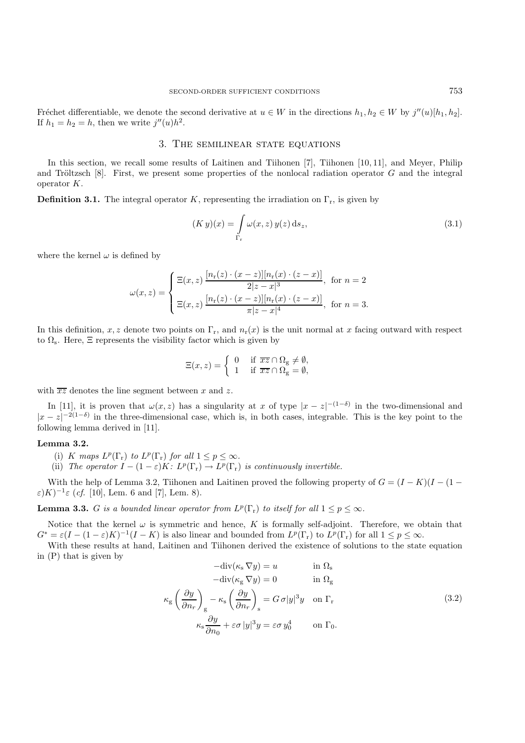Fréchet differentiable, we denote the second derivative at  $u \in W$  in the directions  $h_1, h_2 \in W$  by  $j''(u)[h_1, h_2]$ . If  $h_1 = h_2 = h$ , then we write  $j''(u)h^2$ .

## 3. The semilinear state equations

In this section, we recall some results of Laitinen and Tiihonen [7], Tiihonen [10, 11], and Meyer, Philip and Tröltzsch  $[8]$ . First, we present some properties of the nonlocal radiation operator G and the integral operator K.

**Definition 3.1.** The integral operator K, representing the irradiation on  $\Gamma_r$ , is given by

$$
(K y)(x) = \int\limits_{\Gamma_{\rm r}} \omega(x, z) y(z) \, \mathrm{d}s_z,\tag{3.1}
$$

where the kernel  $\omega$  is defined by

$$
\omega(x, z) = \begin{cases} \Xi(x, z) \frac{[n_{\text{r}}(z) \cdot (x - z)][n_{\text{r}}(x) \cdot (z - x)]}{2|z - x|^3}, & \text{for } n = 2\\ \Xi(x, z) \frac{[n_{\text{r}}(z) \cdot (x - z)][n_{\text{r}}(x) \cdot (z - x)]}{\pi|z - x|^4}, & \text{for } n = 3. \end{cases}
$$

In this definition, x, z denote two points on  $\Gamma_r$ , and  $n_r(x)$  is the unit normal at x facing outward with respect to  $\Omega$ <sub>s</sub>. Here,  $\Xi$  represents the visibility factor which is given by

$$
\Xi(x,z) = \begin{cases} 0 & \text{if } \overline{xz} \cap \Omega_{\text{g}} \neq \emptyset, \\ 1 & \text{if } \overline{xz} \cap \Omega_{\text{g}} = \emptyset, \end{cases}
$$

with  $\overline{xz}$  denotes the line segment between x and z.

In [11], it is proven that  $\omega(x, z)$  has a singularity at x of type  $|x-z|^{-(1-\delta)}$  in the two-dimensional and  $|x-z|^{-2(1-\delta)}$  in the three-dimensional case, which is, in both cases, integrable. This is the key point to the following lemma derived in [11].

#### **Lemma 3.2.**

- (i) K maps  $L^p(\Gamma_r)$  to  $L^p(\Gamma_r)$  for all  $1 \leq p \leq \infty$ .
- (ii) *The operator*  $I (1 \varepsilon)K$ :  $L^p(\Gamma_r) \to L^p(\Gamma_r)$  *is continuously invertible.*

With the help of Lemma 3.2, Tiihonen and Laitinen proved the following property of  $G = (I - K)(I - (1 \varepsilon$ )K)<sup>-1</sup> $\varepsilon$  (*cf.* [10], Lem. 6 and [7], Lem. 8).

**Lemma 3.3.** G *is a bounded linear operator from*  $L^p(\Gamma_r)$  *to itself for all*  $1 \leq p \leq \infty$ *.* 

Notice that the kernel  $\omega$  is symmetric and hence, K is formally self-adjoint. Therefore, we obtain that  $G^* = \varepsilon (I - (1 - \varepsilon)K)^{-1}(I - K)$  is also linear and bounded from  $L^p(\Gamma_r)$  to  $L^p(\Gamma_r)$  for all  $1 \leq p \leq \infty$ .

With these results at hand, Laitinen and Tiihonen derived the existence of solutions to the state equation in (P) that is given by

$$
-div(\kappa_{s} \nabla y) = u \t\t in \Omega_{s}
$$
  
\n
$$
-div(\kappa_{g} \nabla y) = 0 \t\t in \Omega_{g}
$$
  
\n
$$
\kappa_{g} \left(\frac{\partial y}{\partial n_{r}}\right)_{g} - \kappa_{s} \left(\frac{\partial y}{\partial n_{r}}\right)_{s} = G \sigma |y|^{3} y \t on \Gamma_{r}
$$
  
\n
$$
\kappa_{s} \frac{\partial y}{\partial n_{0}} + \varepsilon \sigma |y|^{3} y = \varepsilon \sigma y_{0}^{4} \t on \Gamma_{0}.
$$
\n(3.2)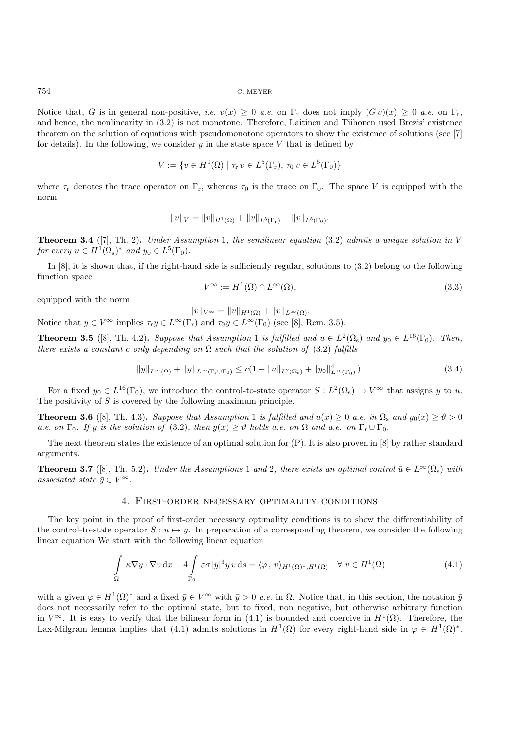Notice that, G is in general non-positive, *i.e.*  $v(x) \geq 0$  *a.e.* on  $\Gamma_r$  does not imply  $(Gv)(x) \geq 0$  *a.e.* on  $\Gamma_r$ , and hence, the nonlinearity in (3.2) is not monotone. Therefore, Laitinen and Tiihonen used Brezis' existence theorem on the solution of equations with pseudomonotone operators to show the existence of solutions (see [7] for details). In the following, we consider  $y$  in the state space V that is defined by

$$
V := \{ v \in H^1(\Omega) \mid \tau_r v \in L^5(\Gamma_r), \, \tau_0 v \in L^5(\Gamma_0) \}
$$

where  $\tau_r$  denotes the trace operator on  $\Gamma_r$ , whereas  $\tau_0$  is the trace on  $\Gamma_0$ . The space V is equipped with the norm

$$
||v||_V = ||v||_{H^1(\Omega)} + ||v||_{L^5(\Gamma_r)} + ||v||_{L^5(\Gamma_0)}.
$$

**Theorem 3.4** ([7], Th. 2)**.** *Under Assumption* 1*, the semilinear equation* (3.2) *admits a unique solution in* V *for every*  $u \in H^1(\Omega_s)^*$  *and*  $y_0 \in L^5(\Gamma_0)$ *.* 

In [8], it is shown that, if the right-hand side is sufficiently regular, solutions to (3.2) belong to the following function space

$$
V^{\infty} := H^{1}(\Omega) \cap L^{\infty}(\Omega), \tag{3.3}
$$

equipped with the norm

 $||v||_{V^{\infty}} = ||v||_{H^1(\Omega)} + ||v||_{L^{\infty}(\Omega)}.$ 

Notice that  $y \in V^{\infty}$  implies  $\tau_{r}y \in L^{\infty}(\Gamma_{r})$  and  $\tau_{0}y \in L^{\infty}(\Gamma_{0})$  (see [8], Rem. 3.5).

**Theorem 3.5** ([8], Th. 4.2). *Suppose that Assumption* 1 *is fulfilled and*  $u \in L^2(\Omega_s)$  *and*  $y_0 \in L^{16}(\Gamma_0)$ *. Then, there exists a constant c only depending on*  $\Omega$  *such that the solution of* (3.2) *fulfills* 

$$
||y||_{L^{\infty}(\Omega)} + ||y||_{L^{\infty}(\Gamma_r \cup \Gamma_0)} \leq c(1 + ||u||_{L^2(\Omega_s)} + ||y_0||_{L^{16}(\Gamma_0)}^4).
$$
\n(3.4)

For a fixed  $y_0 \in L^{16}(\Gamma_0)$ , we introduce the control-to-state operator  $S: L^2(\Omega_s) \to V^\infty$  that assigns y to u. The positivity of  $S$  is covered by the following maximum principle.

**Theorem 3.6** ([8], Th. 4.3). *Suppose that Assumption* 1 *is fulfilled and*  $u(x) \ge 0$  *a.e. in*  $\Omega_s$  *and*  $y_0(x) \ge \vartheta > 0$ *a.e.* on  $\Gamma_0$ *. If* y *is the solution of* (3.2)*, then*  $y(x) \geq \vartheta$  *holds a.e. on*  $\Omega$  *and a.e. on*  $\Gamma_r \cup \Gamma_0$ *.* 

The next theorem states the existence of an optimal solution for (P). It is also proven in [8] by rather standard arguments.

**Theorem 3.7** ([8], Th. 5.2). *Under the Assumptions* 1 *and* 2, *there exists an optimal control*  $\bar{u} \in L^{\infty}(\Omega_s)$  *with associated state*  $\bar{y} \in V^{\infty}$ *.* 

#### 4. First-order necessary optimality conditions

The key point in the proof of first-order necessary optimality conditions is to show the differentiability of the control-to-state operator  $S: u \mapsto u$ . In preparation of a corresponding theorem, we consider the following linear equation We start with the following linear equation

$$
\int_{\Omega} \kappa \nabla y \cdot \nabla v \, dx + 4 \int_{\Gamma_0} \varepsilon \sigma |\bar{y}|^3 y \, v \, ds = \langle \varphi, v \rangle_{H^1(\Omega)^*, H^1(\Omega)} \quad \forall \, v \in H^1(\Omega)
$$
\n(4.1)

with a given  $\varphi \in H^1(\Omega)^*$  and a fixed  $\bar{y} \in V^\infty$  with  $\bar{y} > 0$  *a.e.* in  $\Omega$ . Notice that, in this section, the notation  $\bar{y}$ does not necessarily refer to the optimal state, but to fixed, non negative, but otherwise arbitrary function in  $V^{\infty}$ . It is easy to verify that the bilinear form in (4.1) is bounded and coercive in  $H^1(\Omega)$ . Therefore, the Lax-Milgram lemma implies that (4.1) admits solutions in  $H^1(\Omega)$  for every right-hand side in  $\varphi \in H^1(\Omega)^*$ .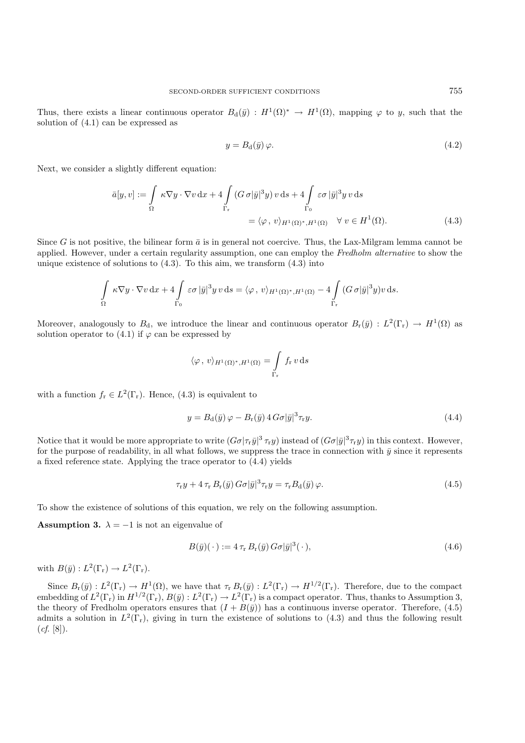Thus, there exists a linear continuous operator  $B_d(\bar{y}) : H^1(\Omega)^* \to H^1(\Omega)$ , mapping  $\varphi$  to y, such that the solution of (4.1) can be expressed as

$$
y = B_{\rm d}(\bar{y})\,\varphi.\tag{4.2}
$$

Next, we consider a slightly different equation:

$$
\bar{a}[y, v] := \int_{\Omega} \kappa \nabla y \cdot \nabla v \, dx + 4 \int_{\Gamma_{\mathbf{r}}} (G \, \sigma |\bar{y}|^3 y) v \, ds + 4 \int_{\Gamma_{0}} \varepsilon \sigma |\bar{y}|^3 y \, v \, ds
$$

$$
= \langle \varphi \, , \, v \rangle_{H^1(\Omega)^*, H^1(\Omega)} \quad \forall \, v \in H^1(\Omega). \tag{4.3}
$$

Since G is not positive, the bilinear form  $\bar{a}$  is in general not coercive. Thus, the Lax-Milgram lemma cannot be applied. However, under a certain regularity assumption, one can employ the *Fredholm alternative* to show the unique existence of solutions to  $(4.3)$ . To this aim, we transform  $(4.3)$  into

$$
\int_{\Omega} \kappa \nabla y \cdot \nabla v \,dx + 4 \int_{\Gamma_0} \varepsilon \sigma |\bar{y}|^3 y \,v \,ds = \langle \varphi, v \rangle_{H^1(\Omega)^*, H^1(\Omega)} - 4 \int_{\Gamma_r} (G \,\sigma |\bar{y}|^3 y) v \,ds.
$$

Moreover, analogously to  $B_d$ , we introduce the linear and continuous operator  $B_r(\bar{y}) : L^2(\Gamma_r) \to H^1(\Omega)$  as solution operator to  $(4.1)$  if  $\varphi$  can be expressed by

$$
\langle \varphi, v \rangle_{H^1(\Omega)^*, H^1(\Omega)} = \int\limits_{\Gamma_{\mathbf{r}}} f_{\mathbf{r}} v \, \mathrm{d} s
$$

with a function  $f_r \in L^2(\Gamma_r)$ . Hence, (4.3) is equivalent to

$$
y = B_d(\bar{y})\varphi - B_r(\bar{y}) 4 G\sigma |\bar{y}|^3 \tau_r y.
$$
\n(4.4)

Notice that it would be more appropriate to write  $(G\sigma|\tau_r\bar{y}|^3\tau_r y)$  instead of  $(G\sigma|\bar{y}|^3\tau_r y)$  in this context. However, for the purpose of readability, in all what follows, we suppress the trace in connection with  $\bar{y}$  since it represents a fixed reference state. Applying the trace operator to (4.4) yields

$$
\tau_{\rm r} y + 4 \tau_{\rm r} B_{\rm r}(\bar{y}) G \sigma |\bar{y}|^3 \tau_{\rm r} y = \tau_{\rm r} B_{\rm d}(\bar{y}) \varphi.
$$
\n(4.5)

To show the existence of solutions of this equation, we rely on the following assumption.

**Assumption 3.**  $\lambda = -1$  is not an eigenvalue of

$$
B(\bar{y})(\cdot) := 4 \tau_{\rm r} B_{\rm r}(\bar{y}) G\sigma |\bar{y}|^3 (\cdot), \qquad (4.6)
$$

with  $B(\bar{y}): L^2(\Gamma_r) \to L^2(\Gamma_r)$ .

Since  $B_r(\bar{y}) : L^2(\Gamma_r) \to H^1(\Omega)$ , we have that  $\tau_r B_r(\bar{y}) : L^2(\Gamma_r) \to H^{1/2}(\Gamma_r)$ . Therefore, due to the compact embedding of  $L^2(\Gamma_r)$  in  $H^{1/2}(\Gamma_r)$ ,  $B(\bar{y}) : L^2(\Gamma_r) \to L^2(\Gamma_r)$  is a compact operator. Thus, thanks to Assumption 3, the theory of Fredholm operators ensures that  $(I + B(\bar{y}))$  has a continuous inverse operator. Therefore, (4.5) admits a solution in  $L^2(\Gamma_r)$ , giving in turn the existence of solutions to (4.3) and thus the following result (*cf*. [8]).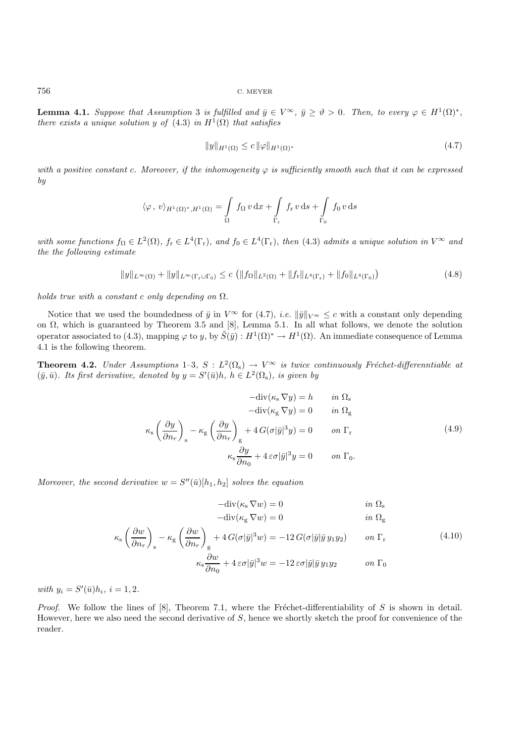**Lemma 4.1.** *Suppose that Assumption* 3 *is fulfilled and*  $\bar{y} \in V^{\infty}$ ,  $\bar{y} \ge \vartheta > 0$ *. Then, to every*  $\varphi \in H^1(\Omega)^*$ *, there exists a unique solution* y *of*  $(4.3)$  *in*  $H<sup>1</sup>(\Omega)$  *that satisfies* 

$$
||y||_{H^{1}(\Omega)} \leq c ||\varphi||_{H^{1}(\Omega)^{*}}
$$
\n(4.7)

*with a positive constant c. Moreover, if the inhomogeneity*  $\varphi$  *is sufficiently smooth such that it can be expressed by*

$$
\langle \varphi, v \rangle_{H^1(\Omega)^*, H^1(\Omega)} = \int_{\Omega} f_{\Omega} v \, dx + \int_{\Gamma_r} f_r v \, ds + \int_{\Gamma_0} f_0 v \, ds
$$

*with some functions*  $f_{\Omega} \in L^2(\Omega)$ ,  $f_r \in L^4(\Gamma_r)$ , and  $f_0 \in L^4(\Gamma_r)$ , then (4.3) admits a unique solution in  $V^{\infty}$  and *the the following estimate*

$$
||y||_{L^{\infty}(\Omega)} + ||y||_{L^{\infty}(\Gamma_r \cup \Gamma_0)} \leq c \left( ||f_{\Omega}||_{L^2(\Omega)} + ||f_r||_{L^4(\Gamma_r)} + ||f_0||_{L^4(\Gamma_0)} \right)
$$
(4.8)

*holds true with a constant* c *only depending on* Ω*.*

Notice that we used the boundedness of  $\bar{y}$  in  $V^{\infty}$  for (4.7), *i.e.*  $\|\bar{y}\|_{V^{\infty}} \leq c$  with a constant only depending on  $\Omega$ , which is guaranteed by Theorem 3.5 and [8], Lemma 5.1. In all what follows, we denote the solution operator associated to (4.3), mapping  $\varphi$  to y, by  $\tilde{S}(\bar{y}) : H^1(\Omega)^* \to H^1(\Omega)$ . An immediate consequence of Lemma 4.1 is the following theorem.

**Theorem 4.2.** *Under Assumptions* 1–3*,*  $S: L^2(\Omega_s) \to V^\infty$  *is twice continuously Fréchet-differenntiable at*  $(\bar{y}, \bar{u})$ *. Its first derivative, denoted by*  $y = S'(\bar{u})h$ *,*  $h \in L^2(\Omega_s)$ *, is given by* 

$$
-div(\kappa_{s} \nabla y) = h \t in \Omega_{s}
$$

$$
-div(\kappa_{g} \nabla y) = 0 \t in \Omega_{g}
$$

$$
\kappa_{s} \left(\frac{\partial y}{\partial n_{r}}\right)_{s} - \kappa_{g} \left(\frac{\partial y}{\partial n_{r}}\right)_{g} + 4 G(\sigma |\bar{y}|^{3} y) = 0 \t on \Gamma_{r}
$$
(4.9)
$$
\kappa_{s} \frac{\partial y}{\partial n_{0}} + 4 \varepsilon \sigma |\bar{y}|^{3} y = 0 \t on \Gamma_{0}.
$$

*Moreover, the second derivative*  $w = S''(\bar{u})[h_1, h_2]$  *solves the equation* 

$$
-\text{div}(\kappa_{\rm s}\,\nabla w) = 0 \qquad \qquad \text{in } \Omega_{\rm s}
$$

$$
-\mathrm{div}(\kappa_{\mathrm{g}}\,\nabla w) = 0 \qquad \qquad in \ \Omega_{\mathrm{g}}
$$

$$
\kappa_{\rm s} \left( \frac{\partial w}{\partial n_r} \right)_{\rm s} - \kappa_{\rm g} \left( \frac{\partial w}{\partial n_r} \right)_{\rm g} + 4 G(\sigma |\bar{y}|^3 w) = -12 G(\sigma |\bar{y}| \bar{y} y_1 y_2) \qquad on \ \Gamma_{\rm r}
$$
\n
$$
\kappa_{\rm s} \frac{\partial w}{\partial n_0} + 4 \varepsilon \sigma |\bar{y}|^3 w = -12 \varepsilon \sigma |\bar{y}| \bar{y} y_1 y_2 \qquad on \ \Gamma_0
$$
\n
$$
(4.10)
$$

*with*  $y_i = S'(\bar{u})h_i, i = 1, 2.$ 

*Proof.* We follow the lines of [8], Theorem 7.1, where the Fréchet-differentiability of S is shown in detail. However, here we also need the second derivative of  $S$ , hence we shortly sketch the proof for convenience of the reader.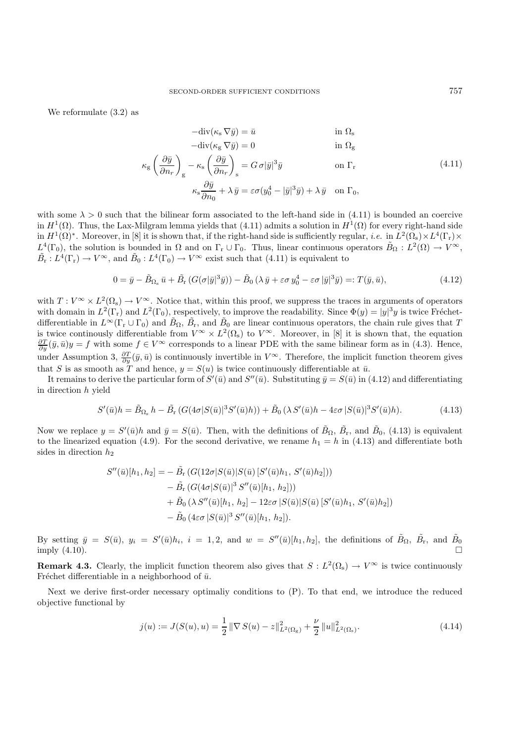We reformulate (3.2) as

$$
-div(\kappa_{s} \nabla \bar{y}) = \bar{u} \qquad \text{in } \Omega_{s}
$$

$$
-div(\kappa_{g} \nabla \bar{y}) = 0 \qquad \text{in } \Omega_{g}
$$

$$
\kappa_{g} \left(\frac{\partial \bar{y}}{\partial n_{r}}\right)_{g} - \kappa_{s} \left(\frac{\partial \bar{y}}{\partial n_{r}}\right)_{s} = G \sigma |\bar{y}|^{3} \bar{y} \qquad \text{on } \Gamma_{r}
$$
(4.11)
$$
\kappa_{s} \frac{\partial \bar{y}}{\partial n_{0}} + \lambda \bar{y} = \varepsilon \sigma (y_{0}^{4} - |\bar{y}|^{3} \bar{y}) + \lambda \bar{y} \quad \text{on } \Gamma_{0},
$$

with some  $\lambda > 0$  such that the bilinear form associated to the left-hand side in (4.11) is bounded an coercive in  $H^1(\Omega)$ . Thus, the Lax-Milgram lemma yields that (4.11) admits a solution in  $H^1(\Omega)$  for every right-hand side in  $H^1(\Omega)^*$ . Moreover, in [8] it is shown that, if the right-hand side is sufficiently regular, *i.e.* in  $L^2(\Omega_s) \times L^4(\Gamma_r) \times$  $L^4(\Gamma_0)$ , the solution is bounded in  $\Omega$  and on  $\Gamma_r \cup \Gamma_0$ . Thus, linear continuous operators  $\tilde{B}_{\Omega}: L^2(\Omega) \to V^{\infty}$ ,  $\tilde{B}_r : L^4(\Gamma_r) \to V^{\infty}$ , and  $\tilde{B}_0 : L^4(\Gamma_0) \to V^{\infty}$  exist such that (4.11) is equivalent to

$$
0 = \bar{y} - \tilde{B}_{\Omega_{\rm s}} \bar{u} + \tilde{B}_{\rm r} \left( G(\sigma|\bar{y}|^3 \bar{y}) \right) - \tilde{B}_0 \left( \lambda \bar{y} + \varepsilon \sigma y_0^4 - \varepsilon \sigma |\bar{y}|^3 \bar{y} \right) =: T(\bar{y}, \bar{u}), \tag{4.12}
$$

with  $T: V^{\infty} \times L^2(\Omega_s) \to V^{\infty}$ . Notice that, within this proof, we suppress the traces in arguments of operators with domain in  $L^2(\Gamma_r)$  and  $L^2(\Gamma_0)$ , respectively, to improve the readability. Since  $\Phi(y) = |y|^3 y$  is twice Fréchetdifferentiable in  $L^{\infty}(\Gamma_r \cup \Gamma_0)$  and  $\tilde{B}_{\Omega}, \tilde{B}_r$ , and  $\tilde{B}_0$  are linear continuous operators, the chain rule gives that T is twice continously differentiable from  $V^{\infty} \times L^2(\Omega_s)$  to  $V^{\infty}$ . Moreover, in [8] it is shown that, the equation  $\frac{\partial T}{\partial u}(\bar{y}, \bar{u})y = f$  with some  $f \in V^{\infty}$  corresponds to a linear PDE with the same bilinear fo under Assumption 3,  $\frac{\partial T}{\partial y}(\bar{y}, \bar{u})$  is continuously invertible in  $V^{\infty}$ . Therefore, the implicit function theorem gives that S is as smooth as T and hence,  $y = S(u)$  is twice continuously differentiable at  $\bar{u}$ .

It remains to derive the particular form of  $S'(\bar{u})$  and  $S''(\bar{u})$ . Substituting  $\bar{y} = S(\bar{u})$  in (4.12) and differentiating in direction h yield

$$
S'(\bar{u})h = \tilde{B}_{\Omega_s} h - \tilde{B}_{\Gamma}(G(4\sigma|S(\bar{u})|^3S'(\bar{u})h)) + \tilde{B}_0(\lambda S'(\bar{u})h - 4\varepsilon\sigma|S(\bar{u})|^3S'(\bar{u})h).
$$
(4.13)

Now we replace  $y = S'(\bar{u})h$  and  $\bar{y} = S(\bar{u})$ . Then, with the definitions of  $\tilde{B}_{\Omega}$ ,  $\tilde{B}_{\Gamma}$ , and  $\tilde{B}_{0}$ , (4.13) is equivalent to the linearized equation (4.9). For the second derivative, we rename  $h_1 = h$  in (4.13) and differentiate both sides in direction  $h_2$ 

$$
S''(\bar{u})[h_1, h_2] = -\tilde{B}_{\rm r} (G(12\sigma | S(\bar{u})|S(\bar{u}) [S'(\bar{u})h_1, S'(\bar{u})h_2]))
$$
  
\n
$$
-\tilde{B}_{\rm r} (G(4\sigma | S(\bar{u})|^3 S''(\bar{u})[h_1, h_2]))
$$
  
\n
$$
+\tilde{B}_{0} (\lambda S''(\bar{u})[h_1, h_2] - 12\varepsilon \sigma |S(\bar{u})|S(\bar{u}) [S'(\bar{u})h_1, S'(\bar{u})h_2])
$$
  
\n
$$
-\tilde{B}_{0} (4\varepsilon \sigma |S(\bar{u})|^3 S''(\bar{u})[h_1, h_2]).
$$

By setting  $\bar{y} = S(\bar{u})$ ,  $y_i = S'(\bar{u})h_i$ ,  $i = 1, 2$ , and  $w = S''(\bar{u})[h_1, h_2]$ , the definitions of  $\tilde{B}_{\Omega}$ ,  $\tilde{B}_{\Gamma}$ , and  $\tilde{B}_{0}$ imply (4.10).

**Remark 4.3.** Clearly, the implicit function theorem also gives that  $S: L^2(\Omega_s) \to V^\infty$  is twice continuously Fréchet differentiable in a neighborhood of  $\bar{u}$ .

Next we derive first-order necessary optimaliy conditions to (P). To that end, we introduce the reduced objective functional by

$$
j(u) := J(S(u), u) = \frac{1}{2} \|\nabla S(u) - z\|_{L^2(\Omega_g)}^2 + \frac{\nu}{2} \|u\|_{L^2(\Omega_s)}^2.
$$
 (4.14)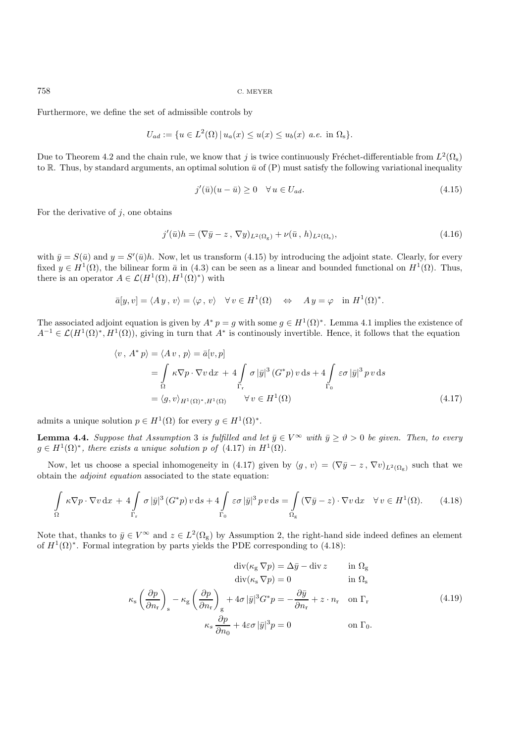Furthermore, we define the set of admissible controls by

$$
U_{ad} := \{ u \in L^{2}(\Omega) | u_{a}(x) \le u(x) \le u_{b}(x) \text{ a.e. in } \Omega_{s} \}.
$$

Due to Theorem 4.2 and the chain rule, we know that j is twice continuously Fréchet-differentiable from  $L^2(\Omega_s)$ to R. Thus, by standard arguments, an optimal solution  $\bar{u}$  of (P) must satisfy the following variational inequality

$$
j'(\bar{u})(u-\bar{u}) \ge 0 \quad \forall u \in U_{ad}.\tag{4.15}
$$

For the derivative of  $i$ , one obtains

$$
j'(\bar{u})h = (\nabla \bar{y} - z, \nabla y)_{L^2(\Omega_{\rm g})} + \nu(\bar{u}, h)_{L^2(\Omega_{\rm s})},\tag{4.16}
$$

with  $\bar{y} = S(\bar{u})$  and  $y = S'(\bar{u})h$ . Now, let us transform (4.15) by introducing the adjoint state. Clearly, for every fixed  $y \in H^1(\Omega)$ , the bilinear form  $\bar{a}$  in (4.3) can be seen as a linear and bounded functional on  $H^1(\Omega)$ . Thus, there is an operator  $A \in \mathcal{L}(H^1(\Omega), H^1(\Omega)^*)$  with

$$
\bar{a}[y, v] = \langle Ay, v \rangle = \langle \varphi, v \rangle \quad \forall v \in H^{1}(\Omega) \quad \Leftrightarrow \quad Ay = \varphi \quad \text{in } H^{1}(\Omega)^{*}.
$$

The associated adjoint equation is given by  $A^* p = q$  with some  $q \in H^1(\Omega)^*$ . Lemma 4.1 implies the existence of  $A^{-1} \in \mathcal{L}(H^1(\Omega)^*, H^1(\Omega))$ , giving in turn that  $A^*$  is continously invertible. Hence, it follows that the equation

$$
\langle v, A^* p \rangle = \langle A v, p \rangle = \bar{a}[v, p]
$$
  
=  $\int_{\Omega} \kappa \nabla p \cdot \nabla v \, dx + 4 \int_{\Gamma_r} \sigma |\bar{y}|^3 (G^* p) v \, ds + 4 \int_{\Gamma_0} \varepsilon \sigma |\bar{y}|^3 p v \, ds$   
=  $\langle g, v \rangle_{H^1(\Omega)^*, H^1(\Omega)} \qquad \forall v \in H^1(\Omega)$  (4.17)

admits a unique solution  $p \in H^1(\Omega)$  for every  $q \in H^1(\Omega)^*$ .

**Lemma 4.4.** *Suppose that Assumption* 3 *is fulfilled and let*  $\bar{y} \in V^{\infty}$  *with*  $\bar{y} \ge \vartheta > 0$  *be given. Then, to every*  $g \in H^1(\Omega)^*$ , there exists a unique solution p of (4.17) in  $H^1(\Omega)$ .

Now, let us choose a special inhomogeneity in (4.17) given by  $\langle g, v \rangle = (\nabla \bar{y} - z, \nabla v)_{L^2(\Omega_g)}$  such that we obtain the *adjoint equation* associated to the state equation:

$$
\int_{\Omega} \kappa \nabla p \cdot \nabla v \, dx + 4 \int_{\Gamma_{\mathbf{r}}} \sigma |\bar{y}|^3 \left( G^* p \right) v \, ds + 4 \int_{\Gamma_{0}} \varepsilon \sigma |\bar{y}|^3 \, p \, v \, ds = \int_{\Omega_{\mathbf{g}}} \left( \nabla \bar{y} - z \right) \cdot \nabla v \, dx \quad \forall \, v \in H^1(\Omega). \tag{4.18}
$$

Note that, thanks to  $\bar{y} \in V^{\infty}$  and  $z \in L^{2}(\Omega_{g})$  by Assumption 2, the right-hand side indeed defines an element of  $H^1(\Omega)^*$ . Formal integration by parts yields the PDE corresponding to (4.18):

$$
\operatorname{div}(\kappa_{\rm g} \nabla p) = \Delta \bar{y} - \operatorname{div} z \qquad \text{in } \Omega_{\rm g}
$$

$$
\operatorname{div}(\kappa_{\rm s} \nabla p) = 0 \qquad \text{in } \Omega_{\rm s}
$$

$$
\kappa_{\rm s} \left(\frac{\partial p}{\partial n_{\rm r}}\right)_{\rm s} - \kappa_{\rm g} \left(\frac{\partial p}{\partial n_{\rm r}}\right)_{\rm g} + 4\sigma |\bar{y}|^3 G^* p = -\frac{\partial \bar{y}}{\partial n_{\rm r}} + z \cdot n_{\rm r} \quad \text{on } \Gamma_{\rm r}
$$

$$
\kappa_s \frac{\partial p}{\partial n_0} + 4\epsilon \sigma |\bar{y}|^3 p = 0 \qquad \text{on } \Gamma_0.
$$
(4.19)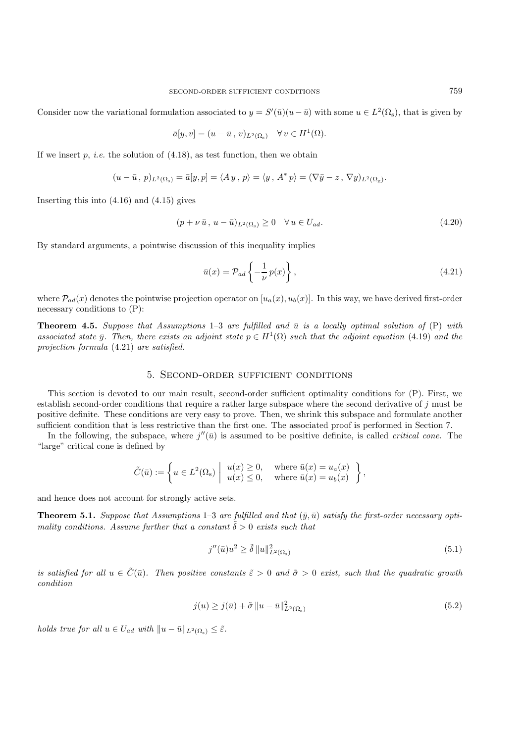Consider now the variational formulation associated to  $y = S'(\bar{u})(u - \bar{u})$  with some  $u \in L^2(\Omega_s)$ , that is given by

$$
\bar{a}[y,v]=(u-\bar{u},v)_{L^2(\Omega_\mathrm{s})}\quad\forall\,v\in H^1(\Omega).
$$

If we insert  $p$ , *i.e.* the solution of  $(4.18)$ , as test function, then we obtain

$$
(u-\bar{u}, p)_{L^2(\Omega_{\rm s})} = \bar{a}[y, p] = \langle Ay, p \rangle = \langle y, A^* p \rangle = (\nabla \bar{y} - z, \nabla y)_{L^2(\Omega_{\rm g})}.
$$

Inserting this into (4.16) and (4.15) gives

$$
(p + \nu \bar{u}, u - \bar{u})_{L^2(\Omega_s)} \ge 0 \quad \forall u \in U_{ad}.\tag{4.20}
$$

By standard arguments, a pointwise discussion of this inequality implies

$$
\bar{u}(x) = \mathcal{P}_{ad} \left\{ -\frac{1}{\nu} p(x) \right\},\tag{4.21}
$$

where  $\mathcal{P}_{ad}(x)$  denotes the pointwise projection operator on  $[u_a(x), u_b(x)]$ . In this way, we have derived first-order necessary conditions to (P):

**Theorem 4.5.** *Suppose that Assumptions*  $1-3$  *are fulfilled and*  $\bar{u}$  *is a locally optimal solution of*  $(P)$  *with associated state*  $\bar{y}$ . Then, there exists an adjoint state  $p \in H^1(\Omega)$  such that the adjoint equation (4.19) and the *projection formula* (4.21) *are satisfied.*

#### 5. Second-order sufficient conditions

This section is devoted to our main result, second-order sufficient optimality conditions for (P). First, we establish second-order conditions that require a rather large subspace where the second derivative of  $j$  must be positive definite. These conditions are very easy to prove. Then, we shrink this subspace and formulate another sufficient condition that is less restrictive than the first one. The associated proof is performed in Section 7.

In the following, the subspace, where  $j''(\bar{u})$  is assumed to be positive definite, is called *critical cone*. The "large" critical cone is defined by

$$
\tilde{C}(\bar{u}) := \left\{ u \in L^2(\Omega_{\mathrm{s}}) \middle| \begin{array}{ll} u(x) \ge 0, & \text{where } \bar{u}(x) = u_a(x) \\ u(x) \le 0, & \text{where } \bar{u}(x) = u_b(x) \end{array} \right\},\,
$$

and hence does not account for strongly active sets.

**Theorem 5.1.** Suppose that Assumptions 1–3 are fulfilled and that  $(\bar{y}, \bar{u})$  satisfy the first-order necessary opti*mality conditions. Assume further that a constant*  $\tilde{\delta} > 0$  *exists such that* 

$$
j''(\bar{u})u^2 \ge \tilde{\delta} \|u\|_{L^2(\Omega_s)}^2 \tag{5.1}
$$

*is satisfied for all*  $u \in \tilde{C}(\bar{u})$ *. Then positive constants*  $\tilde{\varepsilon} > 0$  *and*  $\tilde{\sigma} > 0$  *exist, such that the quadratic growth condition*

$$
j(u) \ge j(\bar{u}) + \tilde{\sigma} \|u - \bar{u}\|_{L^2(\Omega_s)}^2
$$
\n
$$
(5.2)
$$

*holds true for all*  $u \in U_{ad}$  *with*  $||u - \bar{u}||_{L^2(\Omega_s)} \leq \tilde{\varepsilon}$ .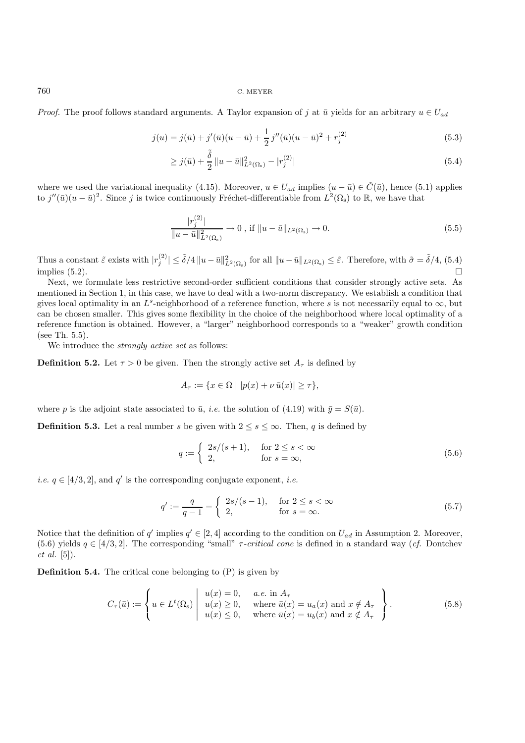*Proof.* The proof follows standard arguments. A Taylor expansion of j at  $\bar{u}$  yields for an arbitrary  $u \in U_{ad}$ 

$$
j(u) = j(\bar{u}) + j'(\bar{u})(u - \bar{u}) + \frac{1}{2}j''(\bar{u})(u - \bar{u})^2 + r_j^{(2)}
$$
\n(5.3)

$$
\geq j(\bar{u}) + \frac{\tilde{\delta}}{2} \|u - \bar{u}\|_{L^2(\Omega_s)}^2 - |r_j^{(2)}| \tag{5.4}
$$

where we used the variational inequality (4.15). Moreover,  $u \in U_{ad}$  implies  $(u - \bar{u}) \in \tilde{C}(\bar{u})$ , hence (5.1) applies to  $j''(\bar{u})(u-\bar{u})^2$ . Since j is twice continuously Fréchet-differentiable from  $L^2(\Omega_s)$  to R, we have that

$$
\frac{|r_j^{(2)}|}{\|u - \bar{u}\|_{L^2(\Omega_s)}^2} \to 0 \text{ , if } \|u - \bar{u}\|_{L^2(\Omega_s)} \to 0. \tag{5.5}
$$

Thus a constant  $\tilde{\varepsilon}$  exists with  $|r_j^{(2)}| \leq \tilde{\delta}/4 ||u - \bar{u}||_{L^2(\Omega_s)}^2$  for all  $||u - \bar{u}||_{L^2(\Omega_s)} \leq \tilde{\varepsilon}$ . Therefore, with  $\tilde{\sigma} = \tilde{\delta}/4$ , (5.4) implies  $(5.2)$ .

Next, we formulate less restrictive second-order sufficient conditions that consider strongly active sets. As mentioned in Section 1, in this case, we have to deal with a two-norm discrepancy. We establish a condition that gives local optimality in an L<sup>s</sup>-neighborhood of a reference function, where s is not necessarily equal to  $\infty$ , but can be chosen smaller. This gives some flexibility in the choice of the neighborhood where local optimality of a reference function is obtained. However, a "larger" neighborhood corresponds to a "weaker" growth condition (see Th. 5.5).

We introduce the *strongly active set* as follows:

**Definition 5.2.** Let  $\tau > 0$  be given. Then the strongly active set  $A_{\tau}$  is defined by

$$
A_{\tau} := \{ x \in \Omega \mid |p(x) + \nu \bar{u}(x)| \geq \tau \},
$$

where p is the adjoint state associated to  $\bar{u}$ , *i.e.* the solution of (4.19) with  $\bar{y} = S(\bar{u})$ .

**Definition 5.3.** Let a real number s be given with  $2 \leq s \leq \infty$ . Then, q is defined by

$$
q := \begin{cases} 2s/(s+1), & \text{for } 2 \le s < \infty \\ 2, & \text{for } s = \infty, \end{cases} \tag{5.6}
$$

*i.e.*  $q \in [4/3, 2]$ , and  $q'$  is the corresponding conjugate exponent, *i.e.* 

$$
q' := \frac{q}{q-1} = \begin{cases} 2s/(s-1), & \text{for } 2 \le s < \infty \\ 2, & \text{for } s = \infty. \end{cases}
$$
 (5.7)

Notice that the definition of q' implies  $q' \in [2, 4]$  according to the condition on  $U_{ad}$  in Assumption 2. Moreover, (5.6) yields  $q \in [4/3, 2]$ . The corresponding "small"  $\tau$ -critical cone is defined in a standard way (*cf.* Dontchev *et al.* [5]).

**Definition 5.4.** The critical cone belonging to (P) is given by

$$
C_{\tau}(\bar{u}) := \left\{ u \in L^{t}(\Omega_{s}) \mid \begin{array}{l} u(x) = 0, & a.e. \text{ in } A_{\tau} \\ u(x) \ge 0, & \text{where } \bar{u}(x) = u_{a}(x) \text{ and } x \notin A_{\tau} \\ u(x) \le 0, & \text{where } \bar{u}(x) = u_{b}(x) \text{ and } x \notin A_{\tau} \end{array} \right\}.
$$
 (5.8)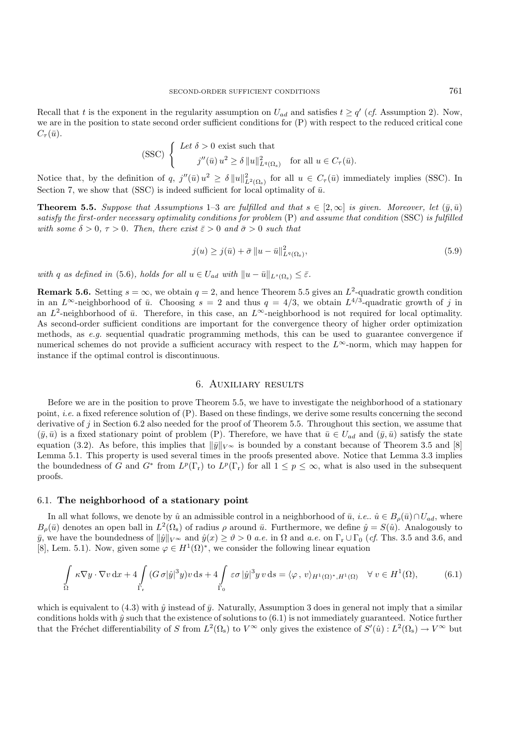Recall that t is the exponent in the regularity assumption on  $U_{ad}$  and satisfies  $t \geq q'$  (cf. Assumption 2). Now, we are in the position to state second order sufficient conditions for (P) with respect to the reduced critical cone  $C_{\tau}(\bar{u}).$ 

$$
\text{(SSC)}\n\begin{cases}\n\text{Let } \delta > 0 \text{ exist such that} \\
\quad j''(\bar{u})\, u^2 \ge \delta \, \|u\|_{L^q(\Omega_\mathbf{s})}^2 \quad \text{for all } u \in C_\tau(\bar{u}).\n\end{cases}
$$

Notice that, by the definition of q,  $j''(\bar{u})u^2 \ge \delta ||u||^2_{L^2(\Omega_s)}$  for all  $u \in C_\tau(\bar{u})$  immediately implies (SSC). In Section 7, we show that (SSC) is indeed sufficient for local optimality of  $\bar{u}$ .

**Theorem 5.5.** *Suppose that Assumptions* 1–3 *are fulfilled and that*  $s \in [2,\infty]$  *is given. Moreover, let*  $(\bar{y}, \bar{u})$ *satisfy the first-order necessary optimality conditions for problem* (P) *and assume that condition* (SSC) *is fulfilled with some*  $\delta > 0$ ,  $\tau > 0$ *. Then, there exist*  $\bar{\varepsilon} > 0$  *and*  $\bar{\sigma} > 0$  *such that* 

$$
j(u) \ge j(\bar{u}) + \bar{\sigma} \left\| u - \bar{u} \right\|_{L^q(\Omega_s)}^2,
$$
\n
$$
(5.9)
$$

*with* q as defined in (5.6)*, holds for all*  $u \in U_{ad}$  *with*  $||u - \bar{u}||_{L^{s}(\Omega_{s})} \leq \bar{\varepsilon}$ *.* 

**Remark 5.6.** Setting  $s = \infty$ , we obtain  $q = 2$ , and hence Theorem 5.5 gives an  $L^2$ -quadratic growth condition in an  $L^{\infty}$ -neighborhood of  $\bar{u}$ . Choosing  $s = 2$  and thus  $q = 4/3$ , we obtain  $L^{4/3}$ -quadratic growth of j in an  $L^2$ -neighborhood of  $\bar{u}$ . Therefore, in this case, an  $L^{\infty}$ -neighborhood is not required for local optimality. As second-order sufficient conditions are important for the convergence theory of higher order optimization methods, as *e.g.* sequential quadratic programming methods, this can be used to guarantee convergence if numerical schemes do not provide a sufficient accuracy with respect to the  $L^{\infty}$ -norm, which may happen for instance if the optimal control is discontinuous.

## 6. Auxiliary results

Before we are in the position to prove Theorem 5.5, we have to investigate the neighborhood of a stationary point, *i.e.* a fixed reference solution of (P). Based on these findings, we derive some results concerning the second derivative of  $j$  in Section 6.2 also needed for the proof of Theorem 5.5. Throughout this section, we assume that  $(\bar{y}, \bar{u})$  is a fixed stationary point of problem (P). Therefore, we have that  $\bar{u} \in U_{ad}$  and  $(\bar{y}, \bar{u})$  satisfy the state equation (3.2). As before, this implies that  $\|\bar{y}\|_{V^\infty}$  is bounded by a constant because of Theorem 3.5 and [8] Lemma 5.1. This property is used several times in the proofs presented above. Notice that Lemma 3.3 implies the boundedness of G and  $G^*$  from  $L^p(\Gamma_r)$  to  $L^p(\Gamma_r)$  for all  $1 \leq p \leq \infty$ , what is also used in the subsequent proofs.

## 6.1. **The neighborhood of a stationary point**

In all what follows, we denote by  $\hat{u}$  an admissible control in a neighborhood of  $\bar{u}$ ,  $i.e., \hat{u} \in B_o(\bar{u}) \cap U_{ad}$ , where  $B_{\rho}(\bar{u})$  denotes an open ball in  $L^2(\Omega_s)$  of radius  $\rho$  around  $\bar{u}$ . Furthermore, we define  $\hat{y} = S(\hat{u})$ . Analogously to  $\bar{y}$ , we have the boundedness of  $\|\hat{y}\|_{V^\infty}$  and  $\hat{y}(x) \ge \vartheta > 0$  *a.e.* in  $\Omega$  and *a.e.* on  $\Gamma_r \cup \Gamma_0$  (*cf.* Ths. 3.5 and 3.6, and [8], Lem. 5.1). Now, given some  $\varphi \in H^1(\Omega)^*$ , we consider the following linear equation

$$
\int_{\Omega} \kappa \nabla y \cdot \nabla v \, dx + 4 \int_{\Gamma_{\mathbf{r}}} (G \,\sigma |\hat{y}|^3 y) v \, ds + 4 \int_{\Gamma_{0}} \varepsilon \sigma |\hat{y}|^3 y \, v \, ds = \langle \varphi, v \rangle_{H^1(\Omega)^*, H^1(\Omega)} \quad \forall \, v \in H^1(\Omega), \tag{6.1}
$$

which is equivalent to (4.3) with  $\hat{y}$  instead of  $\bar{y}$ . Naturally, Assumption 3 does in general not imply that a similar conditions holds with  $\hat{y}$  such that the existence of solutions to  $(6.1)$  is not immediately guaranteed. Notice further that the Fréchet differentiability of S from  $L^2(\Omega_s)$  to  $V^{\infty}$  only gives the existence of  $S'(\hat{u}): L^2(\Omega_s) \to V^{\infty}$  but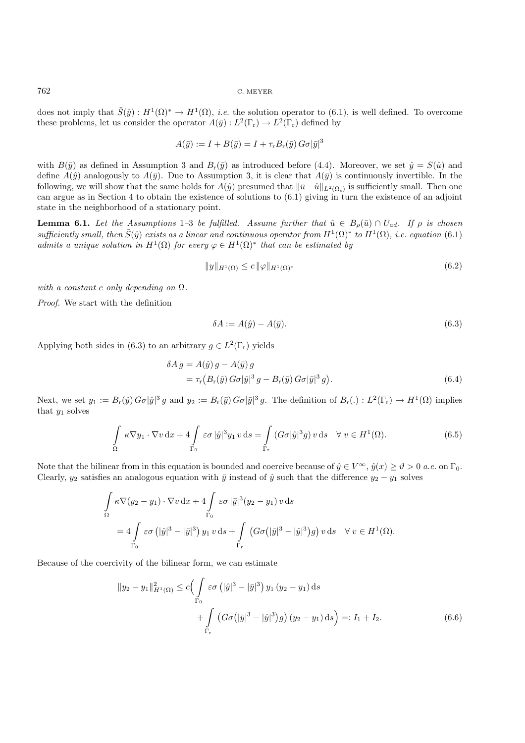does not imply that  $\tilde{S}(\hat{y}): H^1(\Omega)^* \to H^1(\Omega)$ , *i.e.* the solution operator to (6.1), is well defined. To overcome these problems, let us consider the operator  $A(\bar{y}): L^2(\Gamma_r) \to L^2(\Gamma_r)$  defined by

$$
A(\bar{y}) := I + B(\bar{y}) = I + \tau_{r} B_{r}(\bar{y}) G\sigma |\bar{y}|^{3}
$$

with  $B(\bar{y})$  as defined in Assumption 3 and  $B_r(\bar{y})$  as introduced before (4.4). Moreover, we set  $\hat{y} = S(\hat{u})$  and define  $A(\hat{y})$  analogously to  $A(\bar{y})$ . Due to Assumption 3, it is clear that  $A(\bar{y})$  is continuously invertible. In the following, we will show that the same holds for  $A(\hat{y})$  presumed that  $\|\bar{u}-\hat{u}\|_{L^2(\Omega_s)}$  is sufficiently small. Then one can argue as in Section 4 to obtain the existence of solutions to  $(6.1)$  giving in turn the existence of an adjoint state in the neighborhood of a stationary point.

**Lemma 6.1.** *Let the Assumptions* 1–3 *be fulfilled.* Assume further that  $\hat{u} \in B_{\rho}(\bar{u}) \cap U_{ad}$ . If  $\rho$  is chosen *sufficiently small, then*  $\tilde{S}(\hat{y})$  *exists as a linear and continuous operator from*  $H^1(\Omega)^*$  *to*  $H^1(\Omega)$ *, i.e. equation* (6.1) *admits a unique solution in*  $H^1(\Omega)$  *for every*  $\varphi \in H^1(\Omega)^*$  *that can be estimated by* 

$$
||y||_{H^{1}(\Omega)} \leq c ||\varphi||_{H^{1}(\Omega)^{*}}
$$
\n(6.2)

*with a constant* c *only depending on* Ω*.*

*Proof.* We start with the definition

$$
\delta A := A(\hat{y}) - A(\bar{y}).\tag{6.3}
$$

Applying both sides in (6.3) to an arbitrary  $g \in L^2(\Gamma_r)$  yields

$$
\delta A g = A(\hat{y}) g - A(\bar{y}) g
$$
  
=  $\tau_{\rm r} (B_{\rm r}(\hat{y}) G \sigma |\hat{y}|^3 g - B_{\rm r}(\bar{y}) G \sigma |\bar{y}|^3 g).$  (6.4)

Next, we set  $y_1 := B_r(\hat{y}) G_{\sigma} |\hat{y}|^3 g$  and  $y_2 := B_r(\bar{y}) G_{\sigma} |\bar{y}|^3 g$ . The definition of  $B_r(.) : L^2(\Gamma_r) \to H^1(\Omega)$  implies that  $y_1$  solves

$$
\int_{\Omega} \kappa \nabla y_1 \cdot \nabla v \, dx + 4 \int_{\Gamma_0} \varepsilon \sigma |\hat{y}|^3 y_1 \, v \, ds = \int_{\Gamma_r} (G\sigma |\hat{y}|^3 g) \, v \, ds \quad \forall \ v \in H^1(\Omega). \tag{6.5}
$$

Note that the bilinear from in this equation is bounded and coercive because of  $\hat{y} \in V^{\infty}$ ,  $\hat{y}(x) \ge \hat{y} > 0$  *a.e.* on  $\Gamma_0$ . Clearly,  $y_2$  satisfies an analogous equation with  $\bar{y}$  instead of  $\hat{y}$  such that the difference  $y_2 - y_1$  solves

$$
\int_{\Omega} \kappa \nabla (y_2 - y_1) \cdot \nabla v \,dx + 4 \int_{\Gamma_0} \varepsilon \sigma |\bar{y}|^3 (y_2 - y_1) v \,ds
$$
  
=  $4 \int_{\Gamma_0} \varepsilon \sigma (|\hat{y}|^3 - |\bar{y}|^3) y_1 v \,ds + \int_{\Gamma_r} (G\sigma (|\bar{y}|^3 - |\hat{y}|^3) g) v \,ds \quad \forall v \in H^1(\Omega).$ 

Because of the coercivity of the bilinear form, we can estimate

$$
||y_2 - y_1||_{H^1(\Omega)}^2 \le c \Big( \int_{\Gamma_0} \varepsilon \sigma \left( |\hat{y}|^3 - |\bar{y}|^3 \right) y_1 (y_2 - y_1) \, ds + \int_{\Gamma_r} \left( G \sigma \left( |\bar{y}|^3 - |\hat{y}|^3 \right) g \right) (y_2 - y_1) \, ds \Big) =: I_1 + I_2.
$$
 (6.6)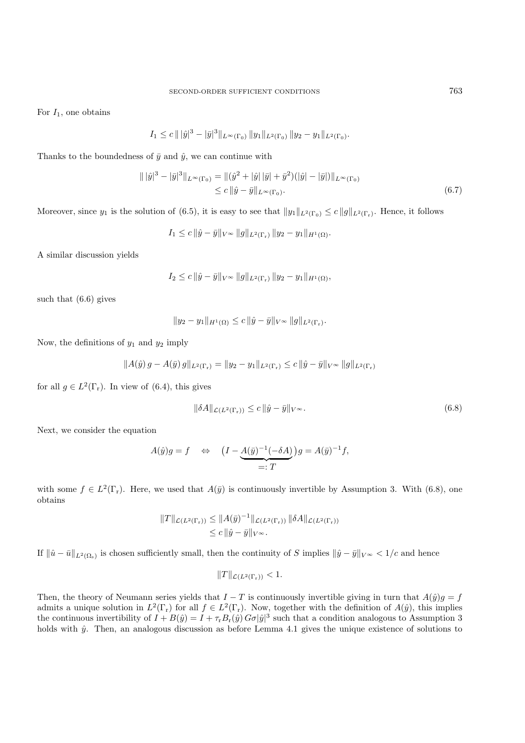For  $I_1$ , one obtains

$$
I_1 \leq c \| |\hat{y}|^3 - |\bar{y}|^3 \|_{L^{\infty}(\Gamma_0)} \|y_1\|_{L^2(\Gamma_0)} \|y_2 - y_1\|_{L^2(\Gamma_0)}.
$$

Thanks to the boundedness of  $\bar{y}$  and  $\hat{y}$ , we can continue with

$$
\| |\hat{y}|^3 - |\bar{y}|^3 \|_{L^{\infty}(\Gamma_0)} = \| (\hat{y}^2 + |\hat{y}| |\bar{y}| + \bar{y}^2)(|\hat{y}| - |\bar{y}|) \|_{L^{\infty}(\Gamma_0)}
$$
  
\n
$$
\leq c \|\hat{y} - \bar{y}\|_{L^{\infty}(\Gamma_0)}.
$$
\n(6.7)

Moreover, since  $y_1$  is the solution of (6.5), it is easy to see that  $||y_1||_{L^2(\Gamma_0)} \leq c||g||_{L^2(\Gamma_r)}$ . Hence, it follows

$$
I_1 \leq c \|\hat{y} - \bar{y}\|_{V^{\infty}} \|g\|_{L^2(\Gamma_r)} \|y_2 - y_1\|_{H^1(\Omega)}.
$$

A similar discussion yields

$$
I_2 \leq c \|\hat{y} - \bar{y}\|_{V^\infty} \|g\|_{L^2(\Gamma_r)} \|y_2 - y_1\|_{H^1(\Omega)},
$$

such that (6.6) gives

$$
||y_2 - y_1||_{H^1(\Omega)} \leq c ||\hat{y} - \bar{y}||_{V^{\infty}} ||g||_{L^2(\Gamma_r)}.
$$

Now, the definitions of  $y_1$  and  $y_2$  imply

$$
||A(\hat{y}) g - A(\bar{y}) g||_{L^{2}(\Gamma_{r})} = ||y_{2} - y_{1}||_{L^{2}(\Gamma_{r})} \leq c ||\hat{y} - \bar{y}||_{V^{\infty}} ||g||_{L^{2}(\Gamma_{r})}
$$

for all  $g \in L^2(\Gamma_r)$ . In view of (6.4), this gives

$$
\|\delta A\|_{\mathcal{L}(L^2(\Gamma_r))} \le c \|\hat{y} - \bar{y}\|_{V^\infty}.
$$
\n(6.8)

Next, we consider the equation

$$
A(\hat{y})g = f \quad \Leftrightarrow \quad \left(I - \underbrace{A(\bar{y})^{-1}(-\delta A)}_{=: T}\right)g = A(\bar{y})^{-1}f,
$$

with some  $f \in L^2(\Gamma_r)$ . Here, we used that  $A(\bar{y})$  is continuously invertible by Assumption 3. With (6.8), one obtains

$$
||T||_{\mathcal{L}(L^2(\Gamma_r))} \leq ||A(\bar{y})^{-1}||_{\mathcal{L}(L^2(\Gamma_r))} ||\delta A||_{\mathcal{L}(L^2(\Gamma_r))}
$$
  

$$
\leq c ||\hat{y} - \bar{y}||_{V^{\infty}}.
$$

If  $\|\hat{u} - \bar{u}\|_{L^2(\Omega_s)}$  is chosen sufficiently small, then the continuity of S implies  $\|\hat{y} - \bar{y}\|_{V^\infty} < 1/c$  and hence

$$
||T||_{\mathcal{L}(L^2(\Gamma_r))} < 1.
$$

Then, the theory of Neumann series yields that  $I - T$  is continuously invertible giving in turn that  $A(\hat{y})g = f$ admits a unique solution in  $L^2(\Gamma_r)$  for all  $f \in L^2(\Gamma_r)$ . Now, together with the definition of  $A(\hat{y})$ , this implies the continuous invertibility of  $I + B(\hat{y}) = I + \tau_{\rm r} B_{\rm r}(\hat{y}) G[\sigma] \hat{y}]^3$  such that a condition analogous to Assumption 3 holds with  $\hat{y}$ . Then, an analogous discussion as before Lemma 4.1 gives the unique existence of solutions to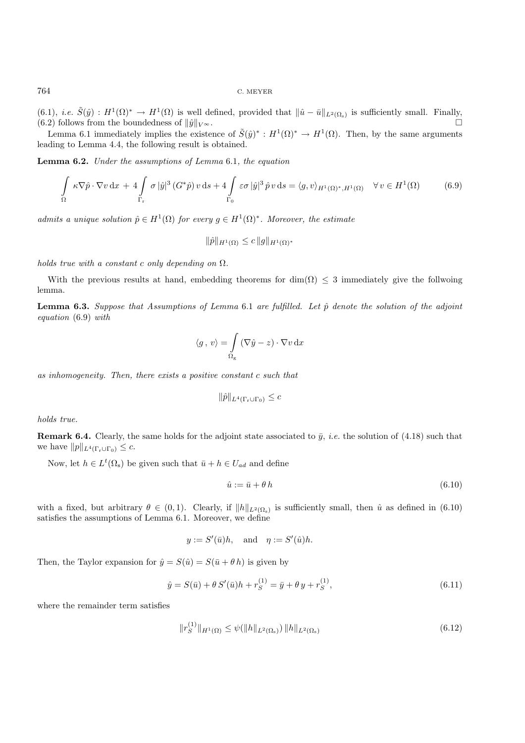(6.1), *i.e.*  $\tilde{S}(\hat{y}) : H^1(\Omega)^* \to H^1(\Omega)$  is well defined, provided that  $\|\hat{u} - \bar{u}\|_{L^2(\Omega_s)}$  is sufficiently small. Finally, (6.2) follows from the boundedness of  $\|\hat{u}\|_{V^{\infty}}$ . (6.2) follows from the boundedness of  $\|\hat{y}\|_{V^\infty}$ .

Lemma 6.1 immediately implies the existence of  $\tilde{S}(\hat{y})^* : H^1(\Omega)^* \to H^1(\Omega)$ . Then, by the same arguments leading to Lemma 4.4, the following result is obtained.

**Lemma 6.2.** *Under the assumptions of Lemma* 6.1*, the equation*

$$
\int_{\Omega} \kappa \nabla \hat{p} \cdot \nabla v \, dx + 4 \int_{\Gamma_{\mathbf{r}}} \sigma |\hat{y}|^3 \left( G^* \hat{p} \right) v \, ds + 4 \int_{\Gamma_{0}} \varepsilon \sigma |\hat{y}|^3 \hat{p} \, v \, ds = \langle g, v \rangle_{H^1(\Omega)^*, H^1(\Omega)} \quad \forall \, v \in H^1(\Omega) \tag{6.9}
$$

*admits a unique solution*  $\hat{p} \in H^1(\Omega)$  *for every*  $g \in H^1(\Omega)^*$ *. Moreover, the estimate* 

$$
\|\hat{p}\|_{H^1(\Omega)} \le c \|g\|_{H^1(\Omega)^*}
$$

*holds true with a constant* c *only depending on* Ω*.*

With the previous results at hand, embedding theorems for dim( $\Omega$ )  $\leq$  3 immediately give the follwoing lemma.

**Lemma 6.3.** *Suppose that Assumptions of Lemma* 6.1 *are fulfilled. Let*  $\hat{p}$  *denote the solution of the adjoint equation* (6.9) *with*

$$
\langle g, v \rangle = \int_{\Omega_{\rm g}} (\nabla \hat{y} - z) \cdot \nabla v \, \mathrm{d}x
$$

*as inhomogeneity. Then, there exists a positive constant* c *such that*

$$
\|\hat{p}\|_{L^4(\Gamma_r \cup \Gamma_0)} \leq c
$$

*holds true.*

**Remark 6.4.** Clearly, the same holds for the adjoint state associated to  $\bar{y}$ , *i.e.* the solution of (4.18) such that we have  $||p||_{L^4(\Gamma_r \cup \Gamma_0)} \leq c$ .

Now, let  $h \in L^t(\Omega_s)$  be given such that  $\bar{u} + h \in U_{ad}$  and define

$$
\hat{u} := \bar{u} + \theta \, h \tag{6.10}
$$

with a fixed, but arbitrary  $\theta \in (0,1)$ . Clearly, if  $||h||_{L^2(\Omega_s)}$  is sufficiently small, then  $\hat{u}$  as defined in (6.10) satisfies the assumptions of Lemma 6.1. Moreover, we define

$$
y := S'(\bar{u})h
$$
, and  $\eta := S'(\hat{u})h$ .

Then, the Taylor expansion for  $\hat{y} = S(\hat{u}) = S(\bar{u} + \theta h)$  is given by

$$
\hat{y} = S(\bar{u}) + \theta S'(\bar{u})h + r_S^{(1)} = \bar{y} + \theta y + r_S^{(1)},
$$
\n(6.11)

where the remainder term satisfies

$$
||r_S^{(1)}||_{H^1(\Omega)} \le \psi(||h||_{L^2(\Omega_s)}) ||h||_{L^2(\Omega_s)}
$$
\n(6.12)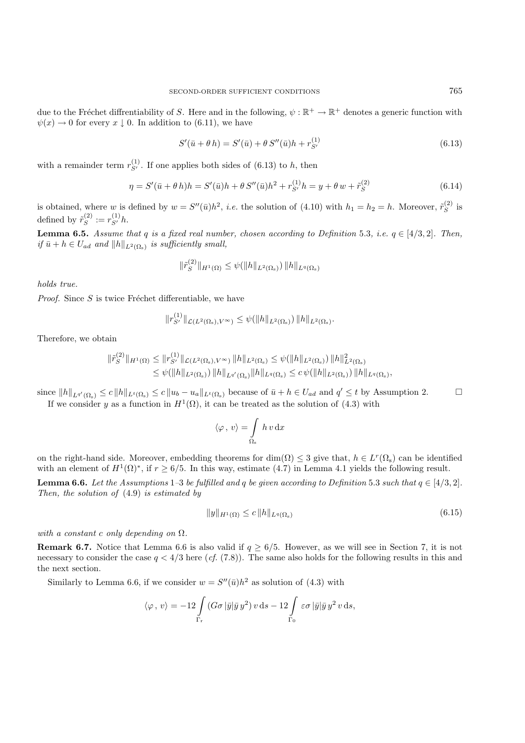due to the Fréchet diffrentiability of S. Here and in the following,  $\psi : \mathbb{R}^+ \to \mathbb{R}^+$  denotes a generic function with  $\psi(x) \to 0$  for every x | 0. In addition to (6.11), we have

$$
S'(\bar{u} + \theta h) = S'(\bar{u}) + \theta S''(\bar{u})h + r_{S'}^{(1)}
$$
\n(6.13)

with a remainder term  $r_{S'}^{(1)}$ . If one applies both sides of (6.13) to h, then

$$
\eta = S'(\bar{u} + \theta h)h = S'(\bar{u})h + \theta S''(\bar{u})h^2 + r_{S'}^{(1)}h = y + \theta w + \tilde{r}_S^{(2)}
$$
(6.14)

is obtained, where w is defined by  $w = S''(\bar{u})h^2$ , *i.e.* the solution of (4.10) with  $h_1 = h_2 = h$ . Moreover,  $\tilde{r}_S^{(2)}$  is defined by  $\tilde{r}_S^{(2)} := r_{S'}^{(1)} h$ .

**Lemma 6.5.** *Assume that* q *is a fixed real number, chosen according to Definition* 5.3*, i.e.*  $q \in [4/3, 2]$ *. Then, if*  $\bar{u} + h \in U_{ad}$  *and*  $||h||_{L^2(\Omega_s)}$  *is sufficiently small,* 

$$
\|\tilde{r}_S^{(2)}\|_{H^1(\Omega)} \le \psi(\|h\|_{L^2(\Omega_\mathrm{s})}) \|h\|_{L^q(\Omega_\mathrm{s})}
$$

*holds true.*

*Proof.* Since  $S$  is twice Fréchet differentiable, we have

$$
||r_{S'}^{(1)}||_{\mathcal{L}(L^2(\Omega_{s}), V^{\infty})} \leq \psi(||h||_{L^2(\Omega_{s})}) ||h||_{L^2(\Omega_{s})}.
$$

Therefore, we obtain

$$
\begin{aligned} \|\tilde{r}_{S}^{(2)}\|_{H^1(\Omega)} &\leq \|r_{S'}^{(1)}\|_{\mathcal{L}(L^2(\Omega_{\mathrm{s}}),V^\infty)} \|h\|_{L^2(\Omega_{\mathrm{s}})} \leq \psi(\|h\|_{L^2(\Omega_{\mathrm{s}})}) \, \|h\|_{L^2(\Omega_{\mathrm{s}})}^2 \\ &\leq \psi(\|h\|_{L^2(\Omega_{\mathrm{s}})}) \, \|h\|_{L^{q'}(\Omega_{\mathrm{s}})} \|h\|_{L^q(\Omega_{\mathrm{s}})} \leq c \, \psi(\|h\|_{L^2(\Omega_{\mathrm{s}})}) \, \|h\|_{L^q(\Omega_{\mathrm{s}})}, \end{aligned}
$$

since  $||h||_{L^{q'}(\Omega_s)} \leq c ||h||_{L^t(\Omega_s)} \leq c ||u_b - u_a||_{L^t(\Omega_s)}$  because of  $\bar{u} + h \in U_{ad}$  and  $q' \leq t$  by Assumption 2. If we consider y as a function in  $H^1(\Omega)$ , it can be treated as the solution of (4.3) with

$$
\langle \varphi \, , \, v \rangle = \int\limits_{\Omega_{\rm s}} h \, v \, \mathrm{d}x
$$

on the right-hand side. Moreover, embedding theorems for dim( $\Omega$ )  $\leq$  3 give that,  $h \in L^r(\Omega_s)$  can be identified with an element of  $H^1(\Omega)^*$ , if  $r > 6/5$ . In this way, estimate (4.7) in Lemma 4.1 yields the following result.

**Lemma 6.6.** *Let the Assumptions* 1–3 *be fulfilled and* q *be given according to Definition* 5.3 *such that*  $q \in [4/3, 2]$ *. Then, the solution of* (4.9) *is estimated by*

$$
||y||_{H^{1}(\Omega)} \leq c ||h||_{L^{q}(\Omega_{s})}
$$
\n(6.15)

*with a constant* c *only depending on* Ω*.*

**Remark 6.7.** Notice that Lemma 6.6 is also valid if  $q \geq 6/5$ . However, as we will see in Section 7, it is not necessary to consider the case  $q < 4/3$  here (*cf.* (7.8)). The same also holds for the following results in this and the next section.

Similarly to Lemma 6.6, if we consider  $w = S''(\bar{u})h^2$  as solution of (4.3) with

$$
\langle \varphi, v \rangle = -12 \int\limits_{\Gamma_{\rm r}} \left( G \sigma \, |\bar{y}| \bar{y} \, y^2 \right) v \, \mathrm{d}s - 12 \int\limits_{\Gamma_{0}} \varepsilon \sigma \, |\bar{y}| \bar{y} \, y^2 \, v \, \mathrm{d}s,
$$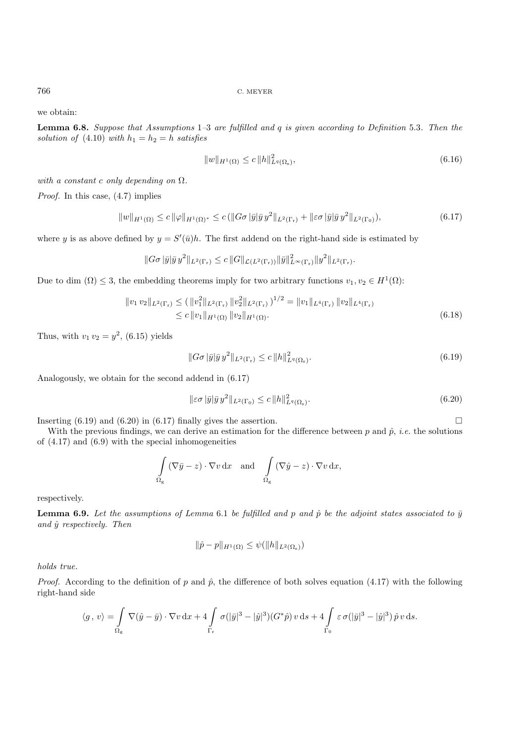we obtain:

**Lemma 6.8.** *Suppose that Assumptions* 1*–*3 *are fulfilled and* q *is given according to Definition* 5.3*. Then the solution of* (4.10) *with*  $h_1 = h_2 = h$  *satisfies* 

$$
||w||_{H^{1}(\Omega)} \leq c ||h||_{L^{q}(\Omega_{s})}^{2}, \tag{6.16}
$$

*with a constant* c *only depending on* Ω*.*

*Proof.* In this case,  $(4.7)$  implies

$$
||w||_{H^{1}(\Omega)} \leq c ||\varphi||_{H^{1}(\Omega)^{*}} \leq c (||G\sigma|\bar{y}|\bar{y}y^{2}||_{L^{2}(\Gamma_{r})} + ||\varepsilon\sigma|\bar{y}|\bar{y}y^{2}||_{L^{2}(\Gamma_{0})}),
$$
\n(6.17)

where y is as above defined by  $y = S'(\bar{u})h$ . The first addend on the right-hand side is estimated by

$$
||G\sigma |\bar{y}|\bar{y} y^2||_{L^2(\Gamma_r)} \leq c ||G||_{\mathcal{L}(L^2(\Gamma_r))} ||\bar{y}||_{L^{\infty}(\Gamma_r)}^2 ||y^2||_{L^2(\Gamma_r)}.
$$

Due to dim  $(\Omega) \leq 3$ , the embedding theorems imply for two arbitrary functions  $v_1, v_2 \in H^1(\Omega)$ :

$$
\|v_1\, v_2\|_{L^2(\Gamma_r)} \le (\|v_1^2\|_{L^2(\Gamma_r)}\, \|v_2^2\|_{L^2(\Gamma_r)})^{1/2} = \|v_1\|_{L^4(\Gamma_r)}\, \|v_2\|_{L^4(\Gamma_r)}\le c\, \|v_1\|_{H^1(\Omega)}\, \|v_2\|_{H^1(\Omega)}.
$$
\n(6.18)

Thus, with  $v_1 v_2 = y^2$ , (6.15) yields

$$
||G\sigma|\bar{y}|\bar{y}y^2||_{L^2(\Gamma_r)} \leq c||h||^2_{L^q(\Omega_s)}.
$$
\n
$$
(6.19)
$$

Analogously, we obtain for the second addend in (6.17)

$$
\|\varepsilon\sigma\left|\bar{y}\right|\bar{y}\left|\bar{y}\right|^2\|_{L^2(\Gamma_0)} \leq c\|h\|_{L^q(\Omega_s)}^2.
$$
\n
$$
(6.20)
$$

Inserting  $(6.19)$  and  $(6.20)$  in  $(6.17)$  finally gives the assertion.

With the previous findings, we can derive an estimation for the difference between p and  $\hat{p}$ , *i.e.* the solutions of (4.17) and (6.9) with the special inhomogeneities

$$
\int_{\Omega_{\rm g}} (\nabla \bar{y} - z) \cdot \nabla v \, dx \quad \text{and} \quad \int_{\Omega_{\rm g}} (\nabla \hat{y} - z) \cdot \nabla v \, dx,
$$

respectively.

**Lemma 6.9.** Let the assumptions of Lemma 6.1 be fulfilled and p and  $\hat{p}$  be the adjoint states associated to  $\bar{y}$ *and* yˆ *respectively. Then*

$$
\|\hat{p} - p\|_{H^1(\Omega)} \le \psi(\|h\|_{L^2(\Omega_s)})
$$

*holds true.*

*Proof.* According to the definition of p and  $\hat{p}$ , the difference of both solves equation (4.17) with the following right-hand side

$$
\langle g, v \rangle = \int\limits_{\Omega_{\rm g}} \nabla(\hat{y} - \bar{y}) \cdot \nabla v \, dx + 4 \int\limits_{\Gamma_{\rm r}} \sigma(|\bar{y}|^3 - |\hat{y}|^3) (G^*\hat{p}) v \, ds + 4 \int\limits_{\Gamma_{0}} \varepsilon \sigma(|\bar{y}|^3 - |\hat{y}|^3) \hat{p} \, v \, ds.
$$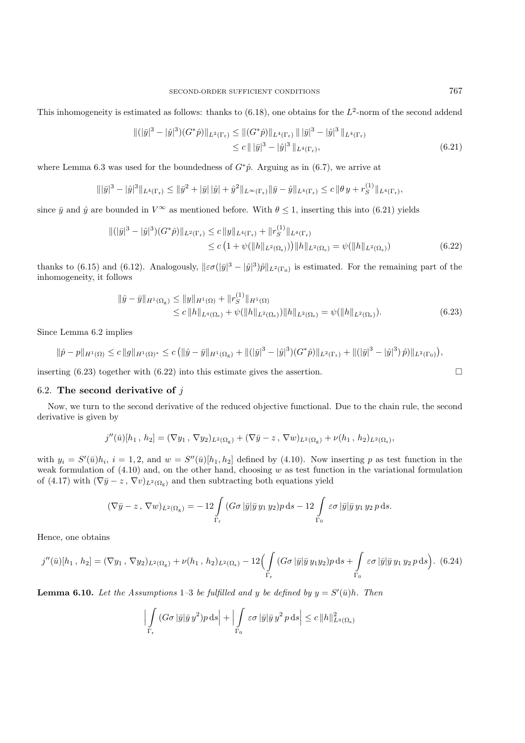This inhomogeneity is estimated as follows: thanks to  $(6.18)$ , one obtains for the  $L^2$ -norm of the second addend

$$
\begin{aligned} \|(|\bar{y}|^3 - |\hat{y}|^3)(G^*\hat{p})\|_{L^2(\Gamma_r)} &\le \| (G^*\hat{p})\|_{L^4(\Gamma_r)} \| |\bar{y}|^3 - |\hat{y}|^3 \|_{L^4(\Gamma_r)} \\ &\le c \, \| |\bar{y}|^3 - |\hat{y}|^3 \|_{L^4(\Gamma_r)}, \end{aligned} \tag{6.21}
$$

where Lemma 6.3 was used for the boundedness of  $G^*\hat{p}$ . Arguing as in (6.7), we arrive at

$$
\|\overline{y}|^3 - |\hat{y}|^3\|_{L^4(\Gamma_r)} \le \|\overline{y}^2 + |\overline{y}|\|\hat{y}| + \hat{y}^2\|_{L^\infty(\Gamma_r)} \|\overline{y} - \hat{y}\|_{L^4(\Gamma_r)} \le c \|\theta y + r_S^{(1)}\|_{L^4(\Gamma_r)},
$$

since  $\bar{y}$  and  $\hat{y}$  are bounded in  $V^{\infty}$  as mentioned before. With  $\theta \leq 1$ , inserting this into (6.21) yields

$$
\begin{aligned} \|(|\bar{y}|^3 - |\hat{y}|^3)(G^*\hat{p})\|_{L^2(\Gamma_r)} &\leq c \|y\|_{L^4(\Gamma_r)} + \|r_S^{(1)}\|_{L^4(\Gamma_r)} \\ &\leq c \left(1 + \psi(\|h\|_{L^2(\Omega_s)})\right) \|h\|_{L^2(\Omega_s)} = \psi(\|h\|_{L^2(\Omega_s)}) \end{aligned} \tag{6.22}
$$

thanks to (6.15) and (6.12). Analogously,  $\|\varepsilon\sigma(|\bar{y}|^3 - |\hat{y}|^3)\hat{p}\|_{L^2(\Gamma_0)}$  is estimated. For the remaining part of the inhomogeneity, it follows

$$
\|\hat{y} - \bar{y}\|_{H^1(\Omega_g)} \le \|y\|_{H^1(\Omega)} + \|r_S^{(1)}\|_{H^1(\Omega)}
$$
  
\n
$$
\le c \|h\|_{L^q(\Omega_s)} + \psi(\|h\|_{L^2(\Omega_s)}) \|h\|_{L^2(\Omega_s)} = \psi(\|h\|_{L^2(\Omega_s)}).
$$
\n(6.23)

Since Lemma 6.2 implies

$$
\|\hat{p}-p\|_{H^1(\Omega)} \leq c \|g\|_{H^1(\Omega)^*} \leq c \left( \|\hat{y}-\bar{y}\|_{H^1(\Omega_g)} + \|(|\bar{y}|^3 - |\hat{y}|^3)(G^*\hat{p})\|_{L^2(\Gamma_r)} + \|(|\bar{y}|^3 - |\hat{y}|^3)\hat{p}\right) \|_{L^2(\Gamma_0)}\right),
$$

inserting (6.23) together with (6.22) into this estimate gives the assertion.  $\square$ 

### 6.2. **The second derivative of** j

Now, we turn to the second derivative of the reduced objective functional. Due to the chain rule, the second derivative is given by

$$
j''(\bar{u})[h_1, h_2] = (\nabla y_1, \nabla y_2)_{L^2(\Omega_{\rm g})} + (\nabla \bar{y} - z, \nabla w)_{L^2(\Omega_{\rm g})} + \nu(h_1, h_2)_{L^2(\Omega_{\rm s})},
$$

with  $y_i = S'(\bar{u})h_i$ ,  $i = 1, 2$ , and  $w = S''(\bar{u})[h_1, h_2]$  defined by (4.10). Now inserting p as test function in the weak formulation of  $(4.10)$  and, on the other hand, choosing w as test function in the variational formulation of (4.17) with  $(\nabla \bar{y} - z, \nabla v)_{L^2(\Omega_{\varepsilon})}$  and then subtracting both equations yield

$$
(\nabla \bar{y} - z, \nabla w)_{L^2(\Omega_g)} = -12 \int\limits_{\Gamma_r} (G\sigma |\bar{y}|\bar{y} y_1 y_2) p \,ds - 12 \int\limits_{\Gamma_0} \varepsilon \sigma |\bar{y}|\bar{y} y_1 y_2 p \,ds.
$$

Hence, one obtains

$$
j''(\bar{u})[h_1, h_2] = (\nabla y_1, \nabla y_2)_{L^2(\Omega_{\rm g})} + \nu(h_1, h_2)_{L^2(\Omega_{\rm s})} - 12 \Big( \int\limits_{\Gamma_{\rm r}} (G\sigma |\bar{y}|\bar{y} y_1 y_2) p \, \mathrm{d} s + \int\limits_{\Gamma_{0}} \varepsilon \sigma |\bar{y}|\bar{y} y_1 y_2 p \, \mathrm{d} s \Big). \tag{6.24}
$$

**Lemma 6.10.** Let the Assumptions 1–3 be fulfilled and y be defined by  $y = S'(\bar{u})h$ . Then

$$
\left| \int\limits_{\Gamma_{\rm r}} (G\sigma \, |\bar{y}|\bar{y} \, y^2) p \, \mathrm{d}s \right| + \left| \int\limits_{\Gamma_{0}} \varepsilon \sigma \, |\bar{y}| \bar{y} \, y^2 \, p \, \mathrm{d}s \right| \leq c \, \|h\|_{L^q(\Omega_{\rm s})}^2
$$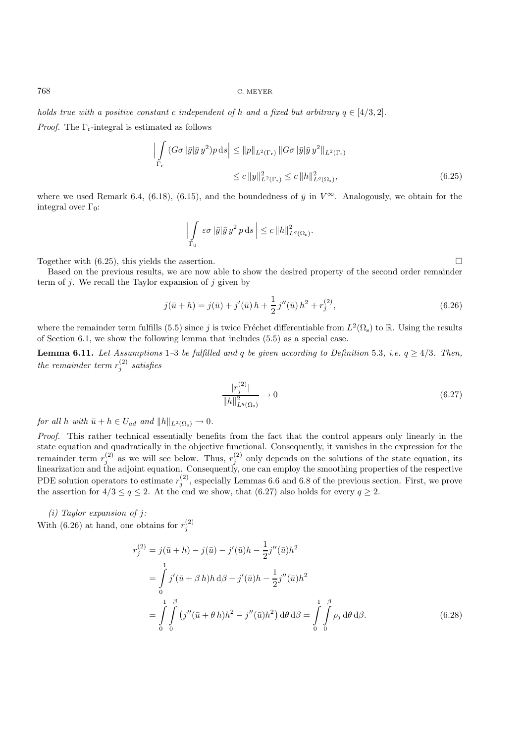*holds true with a positive constant c independent of* h and a fixed but arbitrary  $q \in [4/3, 2]$ .

*Proof.* The  $\Gamma_r$ -integral is estimated as follows

$$
\left| \int\limits_{\Gamma_{\rm r}} (G\sigma \left| \bar{y} \right| \bar{y} \, y^2) p \, \mathrm{d}s \right| \leq \|p\|_{L^2(\Gamma_{\rm r})} \|G\sigma \left| \bar{y} \right| \bar{y} \, y^2 \|_{L^2(\Gamma_{\rm r})}
$$
\n
$$
\leq c \, \|y\|_{L^2(\Gamma_{\rm r})}^2 \leq c \, \|h\|_{L^q(\Omega_{\rm s})}^2,\tag{6.25}
$$

where we used Remark 6.4, (6.18), (6.15), and the boundedness of  $\bar{y}$  in  $V^{\infty}$ . Analogously, we obtain for the integral over  $\Gamma_0$ :

$$
\left|\int\limits_{\Gamma_0} \varepsilon \sigma \, |\bar{y}| \bar{y} \, y^2 \, p \, ds \, \right| \leq c \, \|h\|_{L^q(\Omega_s)}^2.
$$

Together with  $(6.25)$ , this yields the assertion.

Based on the previous results, we are now able to show the desired property of the second order remainder term of  $j$ . We recall the Taylor expansion of  $j$  given by

$$
j(\bar{u} + h) = j(\bar{u}) + j'(\bar{u})h + \frac{1}{2}j''(\bar{u})h^2 + r_j^{(2)},
$$
\n(6.26)

where the remainder term fulfills (5.5) since j is twice Fréchet differentiable from  $L^2(\Omega_s)$  to R. Using the results of Section 6.1, we show the following lemma that includes (5.5) as a special case.

**Lemma 6.11.** *Let Assumptions* 1–3 *be fulfilled and* q *be given according to Definition* 5.3*, i.e.*  $q \geq 4/3$ *. Then, the remainder term*  $r_i^{(2)}$  *satisfies* 

$$
\frac{|r_j^{(2)}|}{\|h\|_{L^q(\Omega_{\rm s})}^2} \to 0 \tag{6.27}
$$

*for all* h *with*  $\bar{u} + h \in U_{ad}$  *and*  $||h||_{L^2(\Omega_s)} \to 0$ *.* 

*Proof.* This rather technical essentially benefits from the fact that the control appears only linearly in the state equation and quadratically in the objective functional. Consequently, it vanishes in the expression for the remainder term  $r_i^{(2)}$  as we will see below. Thus,  $r_i^{(2)}$  only depends on the solutions of the state equation, its linearization and the adjoint equation. Consequently, one can employ the smoothing properties of the respective PDE solution operators to estimate  $r_j^{(2)}$ , especially Lemmas 6.6 and 6.8 of the previous section. First, we prove the assertion for  $4/3 \le q \le 2$ . At the end we show, that (6.27) also holds for every  $q \ge 2$ .

*(i) Taylor expansion of* j*:* With (6.26) at hand, one obtains for  $r_i^{(2)}$ 

$$
r_j^{(2)} = j(\bar{u} + h) - j(\bar{u}) - j'(\bar{u})h - \frac{1}{2}j''(\bar{u})h^2
$$
  
= 
$$
\int_0^1 j'(\bar{u} + \beta h)h d\beta - j'(\bar{u})h - \frac{1}{2}j''(\bar{u})h^2
$$
  
= 
$$
\int_0^1 \int_0^{\beta} (j''(\bar{u} + \theta h)h^2 - j''(\bar{u})h^2) d\theta d\beta = \int_0^1 \int_0^{\beta} \rho_j d\theta d\beta.
$$
 (6.28)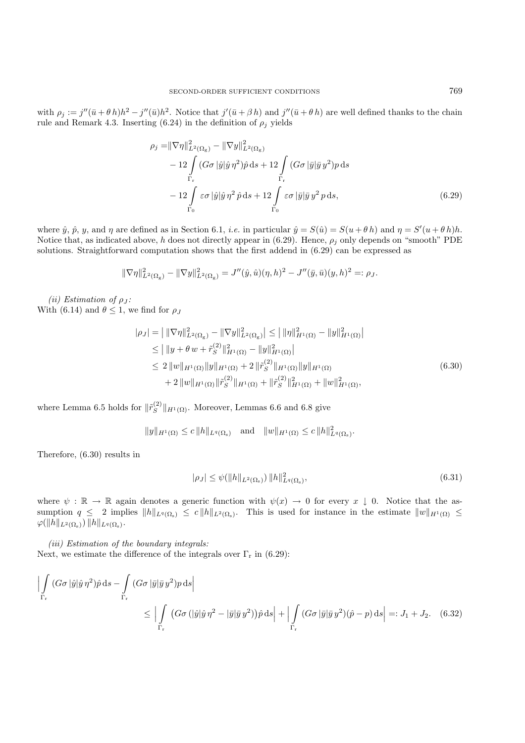with  $\rho_j := j''(\bar{u} + \theta h)h^2 - j''(\bar{u})h^2$ . Notice that  $j'(\bar{u} + \beta h)$  and  $j''(\bar{u} + \theta h)$  are well defined thanks to the chain rule and Remark 4.3. Inserting (6.24) in the definition of  $\rho_j$  yields

$$
\rho_j = \|\nabla \eta\|_{L^2(\Omega_g)}^2 - \|\nabla y\|_{L^2(\Omega_g)}^2
$$
  
\n
$$
- 12 \int_{\Gamma_r} (G\sigma |\hat{y}|\hat{y} \eta^2) \hat{p} ds + 12 \int_{\Gamma_r} (G\sigma |\bar{y}|\bar{y} y^2) p ds
$$
  
\n
$$
- 12 \int_{\Gamma_0} \varepsilon \sigma |\hat{y}|\hat{y} \eta^2 \hat{p} ds + 12 \int_{\Gamma_0} \varepsilon \sigma |\bar{y}|\bar{y} y^2 p ds,
$$
\n(6.29)

where  $\hat{y}$ ,  $\hat{p}$ ,  $y$ , and  $\eta$  are defined as in Section 6.1, *i.e.* in particular  $\hat{y} = S(\hat{u}) = S(u + \theta h)$  and  $\eta = S'(u + \theta h)h$ . Notice that, as indicated above, h does not directly appear in (6.29). Hence,  $\rho_j$  only depends on "smooth" PDE solutions. Straightforward computation shows that the first addend in (6.29) can be expressed as

$$
\|\nabla \eta\|_{L^2(\Omega_{\text{g}})}^2 - \|\nabla y\|_{L^2(\Omega_{\text{g}})}^2 = J''(\hat{y}, \hat{u})(\eta, h)^2 - J''(\bar{y}, \bar{u})(y, h)^2 =: \rho_J.
$$

*(ii)* Estimation of  $\rho_J$ : With (6.14) and  $\theta \leq 1$ , we find for  $\rho_J$ 

$$
|\rho_J| = ||\nabla \eta||_{L^2(\Omega_g)}^2 - ||\nabla y||_{L^2(\Omega_g)}^2| \le ||\eta||_{H^1(\Omega)}^2 - ||y||_{H^1(\Omega)}^2|
$$
  
\n
$$
\le ||y + \theta w + \tilde{r}_S^{(2)}||_{H^1(\Omega)}^2 - ||y||_{H^1(\Omega)}^2|
$$
  
\n
$$
\le 2 ||w||_{H^1(\Omega)} ||y||_{H^1(\Omega)} + 2 ||\tilde{r}_S^{(2)}||_{H^1(\Omega)} ||y||_{H^1(\Omega)}
$$
  
\n
$$
+ 2 ||w||_{H^1(\Omega)} ||\tilde{r}_S^{(2)}||_{H^1(\Omega)} + ||\tilde{r}_S^{(2)}||_{H^1(\Omega)}^2 + ||w||_{H^1(\Omega)}^2,
$$
\n(6.30)

where Lemma 6.5 holds for  $\|\tilde{r}_S^{(2)}\|_{H^1(\Omega)}$ . Moreover, Lemmas 6.6 and 6.8 give

 $||y||_{H^1(\Omega)} \le c ||h||_{L^q(\Omega_s)} \text{ and } ||w||_{H^1(\Omega)} \le c ||h||_{L^q(\Omega_s)}^2.$ 

Therefore, (6.30) results in

$$
|\rho_J| \le \psi(||h||_{L^2(\Omega_s)}) ||h||^2_{L^q(\Omega_s)},
$$
\n(6.31)

where  $\psi : \mathbb{R} \to \mathbb{R}$  again denotes a generic function with  $\psi(x) \to 0$  for every  $x \downarrow 0$ . Notice that the assumption  $q \leq 2$  implies  $||h||_{L^q(\Omega_s)} \leq c||h||_{L^2(\Omega_s)}$ . This is used for instance in the estimate  $||w||_{H^1(\Omega)} \leq$  $\varphi(\|h\|_{L^2(\Omega_\mathrm{s})}) \|h\|_{L^q(\Omega_\mathrm{s})}.$ 

*(iii) Estimation of the boundary integrals:* Next, we estimate the difference of the integrals over  $\Gamma_r$  in (6.29):

$$
\left| \int_{\Gamma_{\rm r}} (G\sigma |\hat{y}|\hat{y}\,\eta^2)\hat{p}\,\mathrm{d}s - \int_{\Gamma_{\rm r}} (G\sigma |\bar{y}|\bar{y}\,y^2)p\,\mathrm{d}s \right|
$$
  

$$
\leq \left| \int_{\Gamma_{\rm r}} (G\sigma (|\hat{y}|\hat{y}\,\eta^2 - |\bar{y}|\bar{y}\,y^2))\hat{p}\,\mathrm{d}s \right| + \left| \int_{\Gamma_{\rm r}} (G\sigma |\bar{y}|\bar{y}\,y^2)(\hat{p} - p)\,\mathrm{d}s \right| =: J_1 + J_2. \quad (6.32)
$$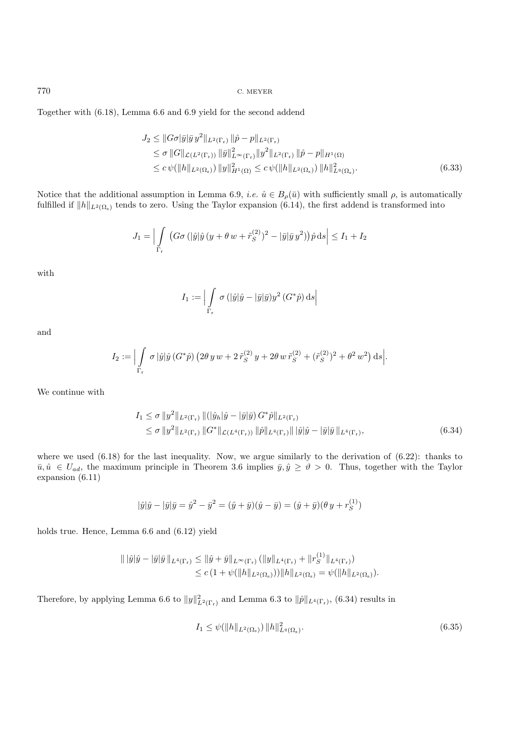Together with (6.18), Lemma 6.6 and 6.9 yield for the second addend

$$
J_2 \leq ||G\sigma|\bar{y}|\bar{y}y^2||_{L^2(\Gamma_r)} ||\hat{p} - p||_{L^2(\Gamma_r)}\leq \sigma ||G||_{\mathcal{L}(L^2(\Gamma_r))} ||\bar{y}||_{L^{\infty}(\Gamma_r)}^2 ||y^2||_{L^2(\Gamma_r)} ||\hat{p} - p||_{H^1(\Omega)}\leq c \psi(||h||_{L^2(\Omega_s)}) ||y||_{H^1(\Omega)}^2 \leq c \psi(||h||_{L^2(\Omega_s)}) ||h||_{L^q(\Omega_s)}^2.
$$
\n(6.33)

Notice that the additional assumption in Lemma 6.9, *i.e.*  $\hat{u} \in B_{\rho}(\bar{u})$  with sufficiently small  $\rho$ , is automatically fulfilled if  $||h||_{L^2(\Omega_s)}$  tends to zero. Using the Taylor expansion (6.14), the first addend is transformed into

$$
J_1 = \left| \int\limits_{\Gamma_{\rm r}} \left( G\sigma \left( |\hat{y}|\hat{y} \left( y + \theta w + \tilde{r}_S^{(2)} \right)^2 - |\bar{y}|\bar{y} \, y^2 \right) \right) \hat{p} \, \mathrm{d}s \right| \le I_1 + I_2
$$

with

$$
I_1 := \Big|\int\limits_{\Gamma_{\mathbf{r}}} \sigma\left(|\hat{y}|\hat{y} - |\bar{y}|\bar{y}\right)y^2\left(G^*\hat{p}\right)ds\Big|
$$

and

$$
I_2 := \Big| \int\limits_{\Gamma_{\rm r}} \sigma \, |\hat{y}| \hat{y} \, (G^*\hat{p}) \, (2\theta \, y \, w + 2 \, \tilde{r}_S^{(2)} \, y + 2\theta \, w \, \tilde{r}_S^{(2)} + (\tilde{r}_S^{(2)})^2 + \theta^2 \, w^2 \big) \, ds \Big|.
$$

We continue with

$$
I_1 \leq \sigma \|y^2\|_{L^2(\Gamma_r)} \|(\|\hat{y}_h\|\hat{y} - \|\bar{y}\|\bar{y}) G^*\hat{p}\|_{L^2(\Gamma_r)} \leq \sigma \|y^2\|_{L^2(\Gamma_r)} \|G^*\|_{\mathcal{L}(L^4(\Gamma_r))} \|\hat{p}\|_{L^4(\Gamma_r)} \||\hat{y}\|\hat{y} - \|\bar{y}\|\bar{y}\|_{L^4(\Gamma_r)},
$$
\n(6.34)

where we used  $(6.18)$  for the last inequality. Now, we argue similarly to the derivation of  $(6.22)$ : thanks to  $\bar{u}, \hat{u} \in U_{ad}$ , the maximum principle in Theorem 3.6 implies  $\bar{y}, \hat{y} \ge \vartheta > 0$ . Thus, together with the Taylor expansion (6.11)

$$
|\hat{y}|\hat{y} - |\bar{y}|\bar{y} = \hat{y}^2 - \bar{y}^2 = (\hat{y} + \bar{y})(\hat{y} - \bar{y}) = (\hat{y} + \bar{y})(\theta y + r_S^{(1)})
$$

holds true. Hence, Lemma 6.6 and (6.12) yield

$$
\begin{aligned} \|\,|\hat{y}|\hat{y} - |\bar{y}|\bar{y}\,\|_{L^4(\Gamma_r)} &\leq \|\hat{y} + \bar{y}\|_{L^\infty(\Gamma_r)} \left(\|y\|_{L^4(\Gamma_r)} + \|r_S^{(1)}\|_{L^4(\Gamma_r)}\right) \\ &\leq c \left(1 + \psi(\|h\|_{L^2(\Omega_\mathrm{s})})\right) \|h\|_{L^2(\Omega_\mathrm{s})} = \psi(\|h\|_{L^2(\Omega_\mathrm{s})}). \end{aligned}
$$

Therefore, by applying Lemma 6.6 to  $||y||^2_{L^2(\Gamma_r)}$  and Lemma 6.3 to  $||\hat{p}||_{L^4(\Gamma_r)}$ , (6.34) results in

$$
I_1 \le \psi(||h||_{L^2(\Omega_s)}) ||h||^2_{L^q(\Omega_s)}.
$$
\n(6.35)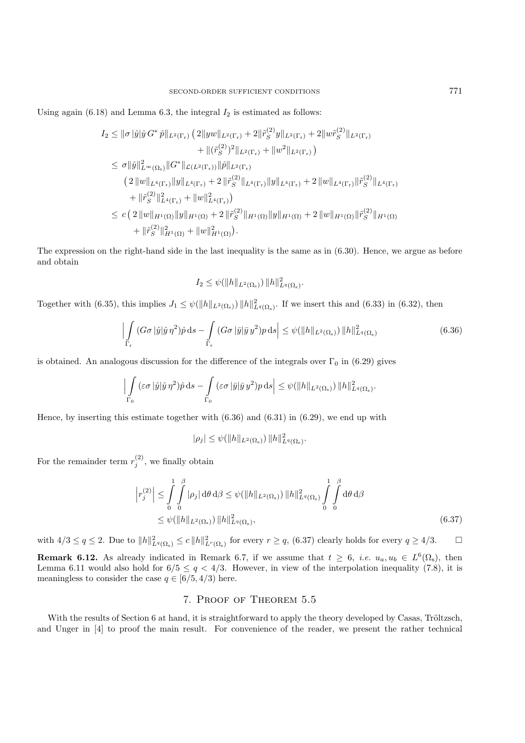Using again  $(6.18)$  and Lemma 6.3, the integral  $I_2$  is estimated as follows:

$$
I_2 \leq ||\sigma||\hat{y}||\hat{y}G^*\hat{p}||_{L^2(\Gamma_r)} (2||yw||_{L^2(\Gamma_r)} + 2||\tilde{r}_S^{(2)}y||_{L^2(\Gamma_r)} + 2||w\tilde{r}_S^{(2)}||_{L^2(\Gamma_r)}+ ||(\tilde{r}_S^{(2)})^2||_{L^2(\Gamma_r)} + ||w^2||_{L^2(\Gamma_r)})\leq \sigma||\hat{y}||_{L^{\infty}(\Omega_s)}^2||G^*||_{\mathcal{L}(L^2(\Gamma_r))}||\hat{p}||_{L^2(\Gamma_r)}(2||w||_{L^4(\Gamma_r)}||y||_{L^4(\Gamma_r)} + 2||\tilde{r}_S^{(2)}||_{L^4(\Gamma_r)}||y||_{L^4(\Gamma_r)} + 2||w||_{L^4(\Gamma_r)}||\tilde{r}_S^{(2)}||_{L^4(\Gamma_r)}+ ||\tilde{r}_S^{(2)}||_{L^4(\Gamma_r)}^2 + ||w||_{L^4(\Gamma_r)}^2)\leq c (2||w||_{H^1(\Omega)}||y||_{H^1(\Omega)} + 2||\tilde{r}_S^{(2)}||_{H^1(\Omega)}||y||_{H^1(\Omega)} + 2||w||_{H^1(\Omega)}||\tilde{r}_S^{(2)}||_{H^1(\Omega)}+ ||\tilde{r}_S^{(2)}||_{H^1(\Omega)}^2 + ||w||_{H^1(\Omega)}^2).
$$

The expression on the right-hand side in the last inequality is the same as in (6.30). Hence, we argue as before and obtain

$$
I_2 \leq \psi(\|h\|_{L^2(\Omega_\mathrm{s})})\, \|h\|_{L^q(\Omega_\mathrm{s})}^2.
$$

Together with (6.35), this implies  $J_1 \leq \psi(||h||_{L^2(\Omega_s)}) ||h||^2_{L^q(\Omega_s)}$ . If we insert this and (6.33) in (6.32), then

$$
\left| \int\limits_{\Gamma_{\rm r}} (G\sigma \left| \hat{y} \right| \hat{y} \eta^2) \hat{p} \, \mathrm{d}s - \int\limits_{\Gamma_{\rm r}} (G\sigma \left| \bar{y} \right| \bar{y} \, y^2) p \, \mathrm{d}s \right| \leq \psi(\|h\|_{L^2(\Omega_{\rm s})}) \, \|h\|_{L^q(\Omega_{\rm s})}^2 \tag{6.36}
$$

is obtained. An analogous discussion for the difference of the integrals over  $\Gamma_0$  in (6.29) gives

$$
\Big|\int\limits_{\Gamma_0} (\varepsilon\sigma|\hat{y}|\hat{y}\,\eta^2)\hat{p}\,\mathrm{d} s - \int\limits_{\Gamma_0} (\varepsilon\sigma|\bar{y}|\bar{y}\,y^2)p\,\mathrm{d} s\Big| \leq \psi(\|h\|_{L^2(\Omega_\mathrm{s})})\,\|h\|_{L^q(\Omega_\mathrm{s})}^2.
$$

Hence, by inserting this estimate together with (6.36) and (6.31) in (6.29), we end up with

 $|\rho_j| \leq \psi(||h||_{L^2(\Omega_\text{s})}) ||h||^2_{L^q(\Omega_\text{s})}.$ 

For the remainder term  $r_i^{(2)}$ , we finally obtain

$$
\left| r_j^{(2)} \right| \leq \int_0^1 \int_0^{\beta} |\rho_j| \, d\theta \, d\beta \leq \psi(\|h\|_{L^2(\Omega_s)}) \, \|h\|_{L^q(\Omega_s)}^2 \int_0^1 \int_0^{\beta} d\theta \, d\beta
$$
\n
$$
\leq \psi(\|h\|_{L^2(\Omega_s)}) \, \|h\|_{L^q(\Omega_s)}^2,\tag{6.37}
$$

with  $4/3 \le q \le 2$ . Due to  $||h||^2_{L^q(\Omega_s)} \le c||h||^2_{L^r(\Omega_s)}$  for every  $r \ge q$ , (6.37) clearly holds for every  $q \ge 4/3$ .

**Remark 6.12.** As already indicated in Remark 6.7, if we assume that  $t \geq 6$ , *i.e.*  $u_a, u_b \in L^6(\Omega_s)$ , then Lemma 6.11 would also hold for  $6/5 \le q < 4/3$ . However, in view of the interpolation inequality (7.8), it is meaningless to consider the case  $q \in [6/5, 4/3)$  here.

## 7. Proof of Theorem 5.5

With the results of Section 6 at hand, it is straightforward to apply the theory developed by Casas, Tröltzsch, and Unger in [4] to proof the main result. For convenience of the reader, we present the rather technical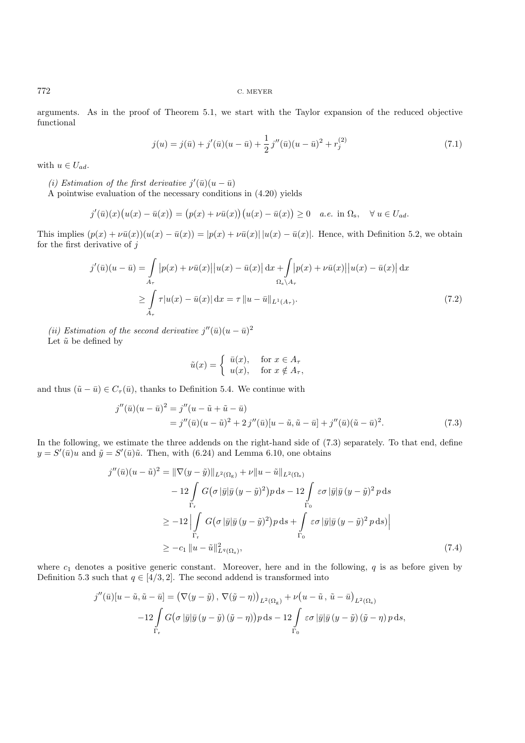arguments. As in the proof of Theorem 5.1, we start with the Taylor expansion of the reduced objective functional

$$
j(u) = j(\bar{u}) + j'(\bar{u})(u - \bar{u}) + \frac{1}{2}j''(\bar{u})(u - \bar{u})^2 + r_j^{(2)}
$$
\n(7.1)

with  $u \in U_{ad}$ .

(*i*) Estimation of the first derivative  $j'(\bar{u})(u - \bar{u})$ 

A pointwise evaluation of the necessary conditions in (4.20) yields

$$
j'(\bar{u})(x)\big(u(x)-\bar{u}(x)\big)=\big(p(x)+\nu\bar{u}(x)\big)\big(u(x)-\bar{u}(x)\big)\geq 0\quad a.e.\,\,\text{in }\Omega_{\mathrm{s}},\quad\forall\ u\in U_{ad}.
$$

This implies  $(p(x) + \nu \bar{u}(x))(u(x) - \bar{u}(x)) = |p(x) + \nu \bar{u}(x)||u(x) - \bar{u}(x)|$ . Hence, with Definition 5.2, we obtain for the first derivative of  $j$ 

$$
j'(\bar{u})(u-\bar{u}) = \int_{A_{\tau}} |p(x) + \nu \bar{u}(x)||u(x) - \bar{u}(x)| dx + \int_{\Omega_{\text{s}} \backslash A_{\tau}} |p(x) + \nu \bar{u}(x)||u(x) - \bar{u}(x)| dx
$$
  

$$
\geq \int_{A_{\tau}} \tau |u(x) - \bar{u}(x)| dx = \tau ||u - \bar{u}||_{L^{1}(A_{\tau})}. \tag{7.2}
$$

(*ii*) Estimation of the second derivative  $j''(\bar{u})(u - \bar{u})^2$ 

Let  $\tilde{u}$  be defined by

$$
\tilde{u}(x) = \begin{cases} \bar{u}(x), & \text{for } x \in A_{\tau} \\ u(x), & \text{for } x \notin A_{\tau}, \end{cases}
$$

and thus  $(\tilde{u} - \bar{u}) \in C_{\tau}(\bar{u})$ , thanks to Definition 5.4. We continue with

$$
j''(\bar{u})(u-\bar{u})^2 = j''(u-\tilde{u}+\tilde{u}-\bar{u})
$$
  
=  $j''(\bar{u})(u-\tilde{u})^2 + 2j''(\bar{u})[u-\tilde{u}, \tilde{u}-\bar{u}] + j''(\bar{u})(\tilde{u}-\bar{u})^2.$  (7.3)

In the following, we estimate the three addends on the right-hand side of (7.3) separately. To that end, define  $y = S'(\bar{u})u$  and  $\tilde{y} = S'(\bar{u})\tilde{u}$ . Then, with (6.24) and Lemma 6.10, one obtains

$$
j''(\bar{u})(u - \tilde{u})^2 = \|\nabla(y - \tilde{y})\|_{L^2(\Omega_{\rm g})} + \nu \|u - \tilde{u}\|_{L^2(\Omega_{\rm s})}
$$
  
\n
$$
- 12 \int_{\Gamma_{\rm r}} G(\sigma |\bar{y}|\bar{y}(y - \tilde{y})^2) p \, \mathrm{d}s - 12 \int_{\Gamma_{0}} \varepsilon \sigma |\bar{y}|\bar{y}(y - \tilde{y})^2 p \, \mathrm{d}s
$$
  
\n
$$
\geq -12 \left| \int_{\Gamma_{\rm r}} G(\sigma |\bar{y}|\bar{y}(y - \tilde{y})^2) p \, \mathrm{d}s + \int_{\Gamma_{0}} \varepsilon \sigma |\bar{y}|\bar{y}(y - \tilde{y})^2 p \, \mathrm{d}s \right|
$$
  
\n
$$
\geq -c_1 \|u - \tilde{u}\|_{L^q(\Omega_{\rm s})}^2, \tag{7.4}
$$

where  $c_1$  denotes a positive generic constant. Moreover, here and in the following, q is as before given by Definition 5.3 such that  $q \in [4/3, 2]$ . The second addend is transformed into

$$
j''(\bar{u})[u-\tilde{u}, \tilde{u}-\bar{u}] = (\nabla(y-\tilde{y}), \nabla(\tilde{y}-\eta))_{L^2(\Omega_{\rm g})} + \nu(u-\tilde{u}, \tilde{u}-\bar{u})_{L^2(\Omega_{\rm s})}
$$

$$
-12 \int G(\sigma |\bar{y}|\bar{y}(y-\tilde{y})(\tilde{y}-\eta)) p \,ds - 12 \int_{\Gamma_0} \varepsilon \sigma |\bar{y}|\bar{y}(y-\tilde{y})(\tilde{y}-\eta) p \,ds,
$$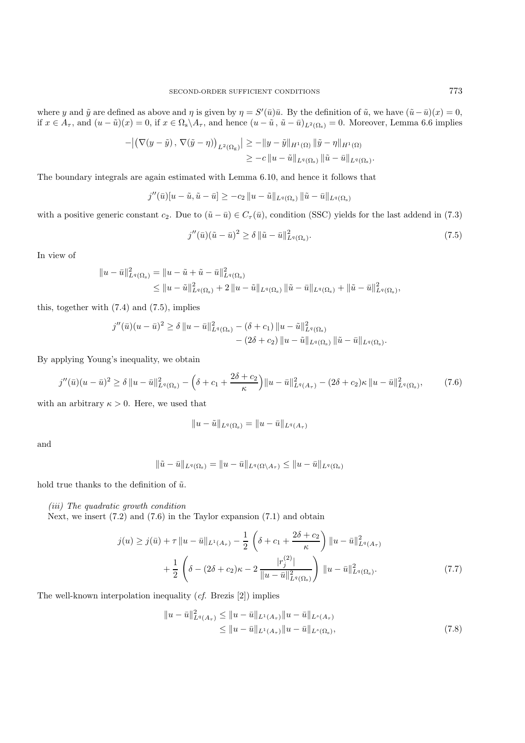where y and  $\tilde{y}$  are defined as above and  $\eta$  is given by  $\eta = S'(\bar{u})\bar{u}$ . By the definition of  $\tilde{u}$ , we have  $(\tilde{u} - \bar{u})(x) = 0$ , if  $x \in A_{\tau}$ , and  $(u - \tilde{u})(x) = 0$ , if  $x \in \Omega_s \backslash A_{\tau}$ , and hence  $(u - \tilde{u}, \tilde{u} - \bar{u})_{L^2(\Omega_s)} = 0$ . Moreover, Lemma 6.6 implies

$$
- \left| \left( \nabla (y - \tilde{y}), \nabla (\tilde{y} - \eta) \right)_{L^2(\Omega_{\mathcal{S}})} \right| \geq - \|y - \tilde{y}\|_{H^1(\Omega)} \|\tilde{y} - \eta\|_{H^1(\Omega)} \geq -c \|u - \tilde{u}\|_{L^q(\Omega_{\mathcal{S}})} \|\tilde{u} - \bar{u}\|_{L^q(\Omega_{\mathcal{S}})}.
$$

The boundary integrals are again estimated with Lemma 6.10, and hence it follows that

$$
j''(\bar{u})[u-\tilde{u},\tilde{u}-\bar{u}]\geq -c_2\|u-\tilde{u}\|_{L^q(\Omega_s)}\|\tilde{u}-\bar{u}\|_{L^q(\Omega_s)}
$$

with a positive generic constant c<sub>2</sub>. Due to  $(\tilde{u} - \bar{u}) \in C_{\tau}(\bar{u})$ , condition (SSC) yields for the last addend in (7.3)

$$
j''(\bar{u})(\tilde{u}-\bar{u})^2 \ge \delta \left\|\tilde{u}-\bar{u}\right\|_{L^q(\Omega_s)}^2.
$$
\n
$$
(7.5)
$$

In view of

$$
\|u - \bar{u}\|_{L^{q}(\Omega_{s})}^{2} = \|u - \tilde{u} + \tilde{u} - \bar{u}\|_{L^{q}(\Omega_{s})}^{2}
$$
  
\$\leq \|u - \tilde{u}\|\_{L^{q}(\Omega\_{s})}^{2} + 2 \|u - \tilde{u}\|\_{L^{q}(\Omega\_{s})} \| \tilde{u} - \bar{u}\|\_{L^{q}(\Omega\_{s})} + \| \tilde{u} - \bar{u}\|\_{L^{q}(\Omega\_{s})}^{2},

this, together with (7.4) and (7.5), implies

$$
j''(\bar{u})(u-\bar{u})^2 \ge \delta \|u-\bar{u}\|_{L^q(\Omega_{\rm s})}^2 - (\delta + c_1) \|u-\tilde{u}\|_{L^q(\Omega_{\rm s})}^2 - (2\delta + c_2) \|u-\tilde{u}\|_{L^q(\Omega_{\rm s})} \| \tilde{u}-\bar{u}\|_{L^q(\Omega_{\rm s})}.
$$

By applying Young's inequality, we obtain

$$
j''(\bar{u})(u-\bar{u})^2 \ge \delta \|u-\bar{u}\|_{L^q(\Omega_s)}^2 - \left(\delta + c_1 + \frac{2\delta + c_2}{\kappa}\right) \|u-\bar{u}\|_{L^q(A_\tau)}^2 - (2\delta + c_2)\kappa \|u-\bar{u}\|_{L^q(\Omega_s)}^2, \tag{7.6}
$$

with an arbitrary  $\kappa > 0$ . Here, we used that

$$
||u - \tilde{u}||_{L^{q}(\Omega_{s})} = ||u - \bar{u}||_{L^{q}(A_{\tau})}
$$

and

$$
\|\tilde{u}-\bar{u}\|_{L^q(\Omega_\mathrm{s})}=\|u-\bar{u}\|_{L^q(\Omega\setminus A_\tau)}\leq \|u-\bar{u}\|_{L^q(\Omega_\mathrm{s})}
$$

hold true thanks to the definition of  $\tilde{u}$ .

*(iii) The quadratic growth condition*

Next, we insert (7.2) and (7.6) in the Taylor expansion (7.1) and obtain

$$
j(u) \geq j(\bar{u}) + \tau \|u - \bar{u}\|_{L^{1}(A_{\tau})} - \frac{1}{2} \left( \delta + c_{1} + \frac{2\delta + c_{2}}{\kappa} \right) \|u - \bar{u}\|_{L^{q}(A_{\tau})}^{2} + \frac{1}{2} \left( \delta - (2\delta + c_{2})\kappa - 2 \frac{|r_{j}^{(2)}|}{\|u - \bar{u}\|_{L^{q}(\Omega_{s})}^{2}} \right) \|u - \bar{u}\|_{L^{q}(\Omega_{s})}^{2}.
$$
\n
$$
(7.7)
$$

The well-known interpolation inequality (*cf.* Brezis [2]) implies

$$
||u - \bar{u}||_{L^{q}(A_{\tau})}^{2} \le ||u - \bar{u}||_{L^{1}(A_{\tau})} ||u - \bar{u}||_{L^{s}(A_{\tau})}
$$
  
\n
$$
\le ||u - \bar{u}||_{L^{1}(A_{\tau})} ||u - \bar{u}||_{L^{s}(\Omega_{s})},
$$
\n(7.8)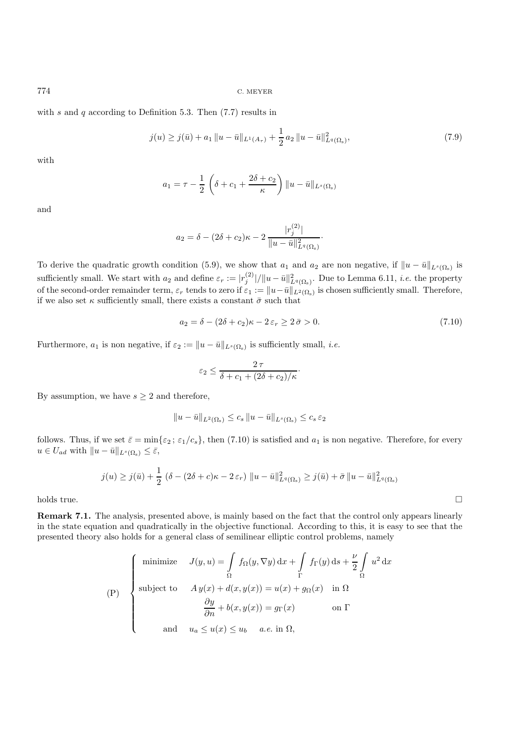with s and q according to Definition 5.3. Then  $(7.7)$  results in

$$
j(u) \ge j(\bar{u}) + a_1 \|u - \bar{u}\|_{L^1(A_\tau)} + \frac{1}{2} a_2 \|u - \bar{u}\|_{L^q(\Omega_s)}^2,
$$
\n
$$
(7.9)
$$

with

$$
a_1 = \tau - \frac{1}{2} \left( \delta + c_1 + \frac{2\delta + c_2}{\kappa} \right) ||u - \bar{u}||_{L^s(\Omega_s)}
$$

and

$$
a_2 = \delta - (2\delta + c_2)\kappa - 2\frac{|r_j^{(2)}|}{\|u - \bar{u}\|_{L^q(\Omega_s)}^2}.
$$

To derive the quadratic growth condition (5.9), we show that  $a_1$  and  $a_2$  are non negative, if  $||u - \bar{u}||_{L^s(\Omega_s)}$  is sufficiently small. We start with  $a_2$  and define  $\varepsilon_r := |r_j^{(2)}|/||u - \bar{u}||^2_{L^q(\Omega_s)}$ . Due to Lemma 6.11, *i.e.* the property of the second-order remainder term,  $\varepsilon_r$  tends to zero if  $\varepsilon_1 := \|u-\bar{u}\|_{L^2(\Omega_s)}$  is chosen sufficiently small. Therefore, if we also set  $\kappa$  sufficiently small, there exists a constant  $\bar{\sigma}$  such that

$$
a_2 = \delta - (2\delta + c_2)\kappa - 2\varepsilon_r \ge 2\bar{\sigma} > 0. \tag{7.10}
$$

Furthermore,  $a_1$  is non negative, if  $\varepsilon_2 := ||u - \bar{u}||_{L^s(\Omega_s)}$  is sufficiently small, *i.e.* 

$$
\varepsilon_2 \leq \frac{2\,\tau}{\delta + c_1 + (2\delta + c_2)/\kappa}.
$$

By assumption, we have  $s \geq 2$  and therefore,

$$
||u - \bar{u}||_{L^2(\Omega_s)} \leq c_s ||u - \bar{u}||_{L^s(\Omega_s)} \leq c_s \varepsilon_2
$$

follows. Thus, if we set  $\bar{\varepsilon} = \min\{\varepsilon_2; \varepsilon_1/c_s\}$ , then (7.10) is satisfied and  $a_1$  is non negative. Therefore, for every  $u \in U_{ad}$  with  $||u - \bar{u}||_{L^s(\Omega_s)} \leq \bar{\varepsilon}$ ,

$$
j(u) \geq j(\bar{u}) + \frac{1}{2} (\delta - (2\delta + c)\kappa - 2\varepsilon_r) \|u - \bar{u}\|_{L^q(\Omega_s)}^2 \geq j(\bar{u}) + \bar{\sigma} \|u - \bar{u}\|_{L^q(\Omega_s)}^2
$$

 $\Box$ holds true.

**Remark 7.1.** The analysis, presented above, is mainly based on the fact that the control only appears linearly in the state equation and quadratically in the objective functional. According to this, it is easy to see that the presented theory also holds for a general class of semilinear elliptic control problems, namely

$$
\text{(P)} \quad\n\begin{cases}\n\text{minimize} & J(y, u) = \int_{\Omega} f_{\Omega}(y, \nabla y) \, \mathrm{d}x + \int_{\Gamma} f_{\Gamma}(y) \, \mathrm{d}s + \frac{\nu}{2} \int_{\Omega} u^2 \, \mathrm{d}x \\
\text{subject to} & A y(x) + d(x, y(x)) = u(x) + g_{\Omega}(x) \quad \text{in } \Omega \\
& \frac{\partial y}{\partial n} + b(x, y(x)) = g_{\Gamma}(x) \quad \text{on } \Gamma \\
& \text{and} \quad u_a \le u(x) \le u_b \quad a.e. \text{ in } \Omega,\n\end{cases}
$$